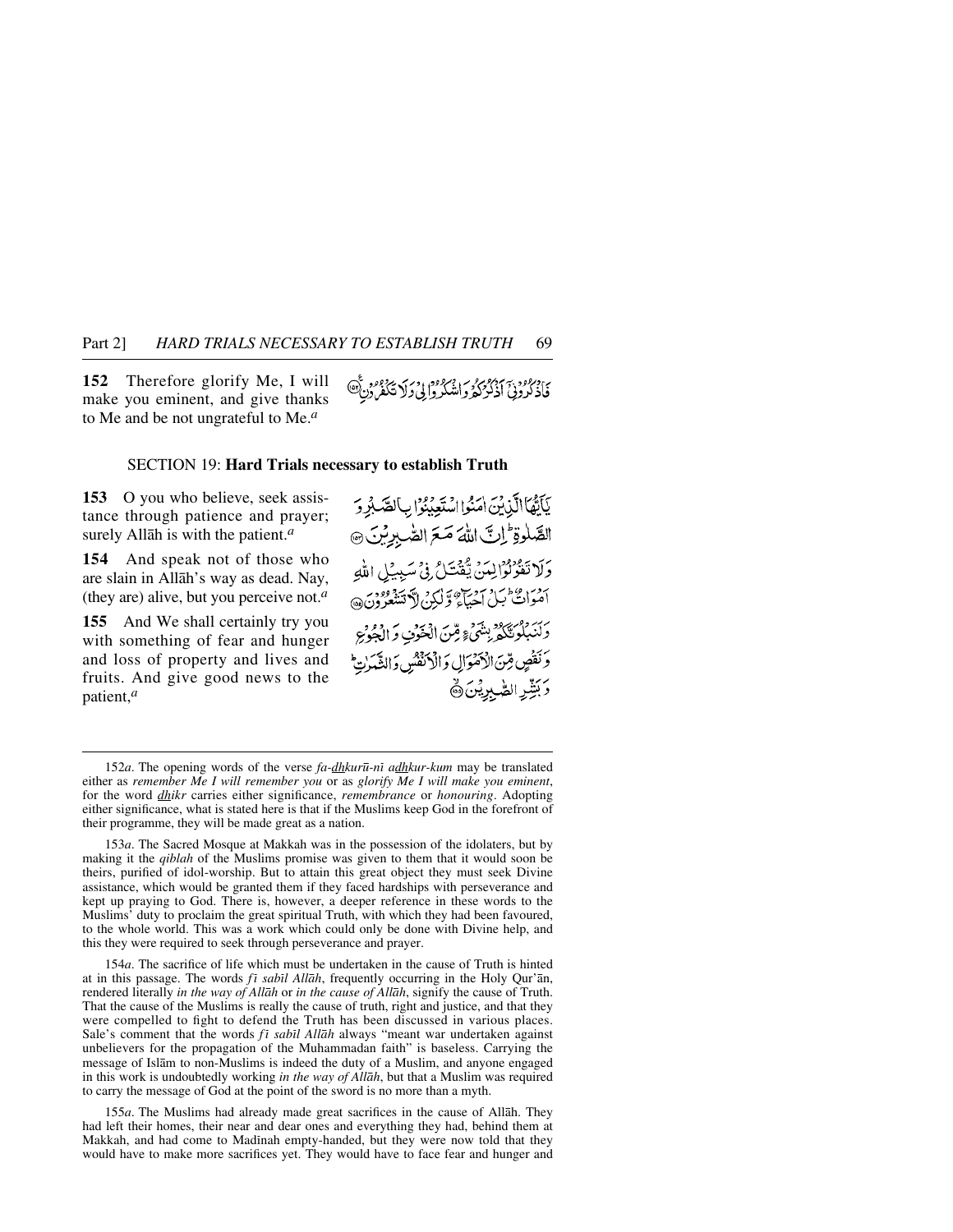**152** Therefore glorify Me, I will make you eminent, and give thanks to Me and be not ungrateful to Me.*<sup>a</sup>*

ی در دود به سرد ویرم در اور در به برد دورد ع<br>فاذ کرونی اذ کردگه واشکروایی د لا تکفرون

## SECTION 19: **Hard Trials necessary to establish Truth**

**153** O you who believe, seek assistance through patience and prayer; surely Allåh is with the patient.*<sup>a</sup>*

**154** And speak not of those who are slain in Allåh's way as dead. Nay, (they are) alive, but you perceive not.*<sup>a</sup>*

**155** And We shall certainly try you with something of fear and hunger and loss of property and lives and fruits. And give good news to the patient,*<sup>a</sup>*

يَأَيُّهَا الَّذِيْنَ امَنُوا اسْتَعِبْنُوا بِ الصَّبْرِ وَ الصَّلْوةِ إلى اللَّهَ صَعَ الصَّبِرِيْنَ @ وَلَا تَفْرُلُوْالِينَ يَّفْتَلُ فِي سَبِيلِ اللَّهِ بحضر عام سام سوساء و الكرم لا تتنو دود.<br>اصوات بيل احياء و لكرم لا تتنغو ون دَكْنَبِيْكُوسِيْكُوْ بِينْتَيْءٍ مِّينَ الْعَوَىٰ وَ الْحَوْجِ وَنَقُصٍ قِنَ الْأَمْوَالِ وَالْأَنْفُسُ وَالشَّيْرَاتِ وَبَشِّرِ الصَّبِرِيْنَ ﴾

152*a*. The opening words of the verse *fa-dhkur∂-nß adhkur-kum* may be translated either as *remember Me I will remember you* or as *glorify Me I will make you eminent*, for the word *dhikr* carries either significance, *remembrance* or *honouring*. Adopting either significance, what is stated here is that if the Muslims keep God in the forefront of their programme, they will be made great as a nation.

153*a*. The Sacred Mosque at Makkah was in the possession of the idolaters, but by making it the *qiblah* of the Muslims promise was given to them that it would soon be theirs, purified of idol-worship. But to attain this great object they must seek Divine assistance, which would be granted them if they faced hardships with perseverance and kept up praying to God. There is, however, a deeper reference in these words to the Muslims' duty to proclaim the great spiritual Truth, with which they had been favoured, to the whole world. This was a work which could only be done with Divine help, and this they were required to seek through perseverance and prayer.

154*a*. The sacrifice of life which must be undertaken in the cause of Truth is hinted at in this passage. The words *fi sabil Allāh*, frequently occurring in the Holy Qur'an, rendered literally *in the way of Allåh* or *in the cause of Allåh*, signify the cause of Truth. That the cause of the Muslims is really the cause of truth, right and justice, and that they were compelled to fight to defend the Truth has been discussed in various places. Sale's comment that the words *f<sub>i</sub>* sabil Allah always "meant war undertaken against unbelievers for the propagation of the Muhammadan faith" is baseless. Carrying the message of Islåm to non-Muslims is indeed the duty of a Muslim, and anyone engaged in this work is undoubtedly working *in the way of Allåh*, but that a Muslim was required to carry the message of God at the point of the sword is no more than a myth.

155*a*. The Muslims had already made great sacrifices in the cause of Allåh. They had left their homes, their near and dear ones and everything they had, behind them at Makkah, and had come to Madinah empty-handed, but they were now told that they would have to make more sacrifices yet. They would have to face fear and hunger and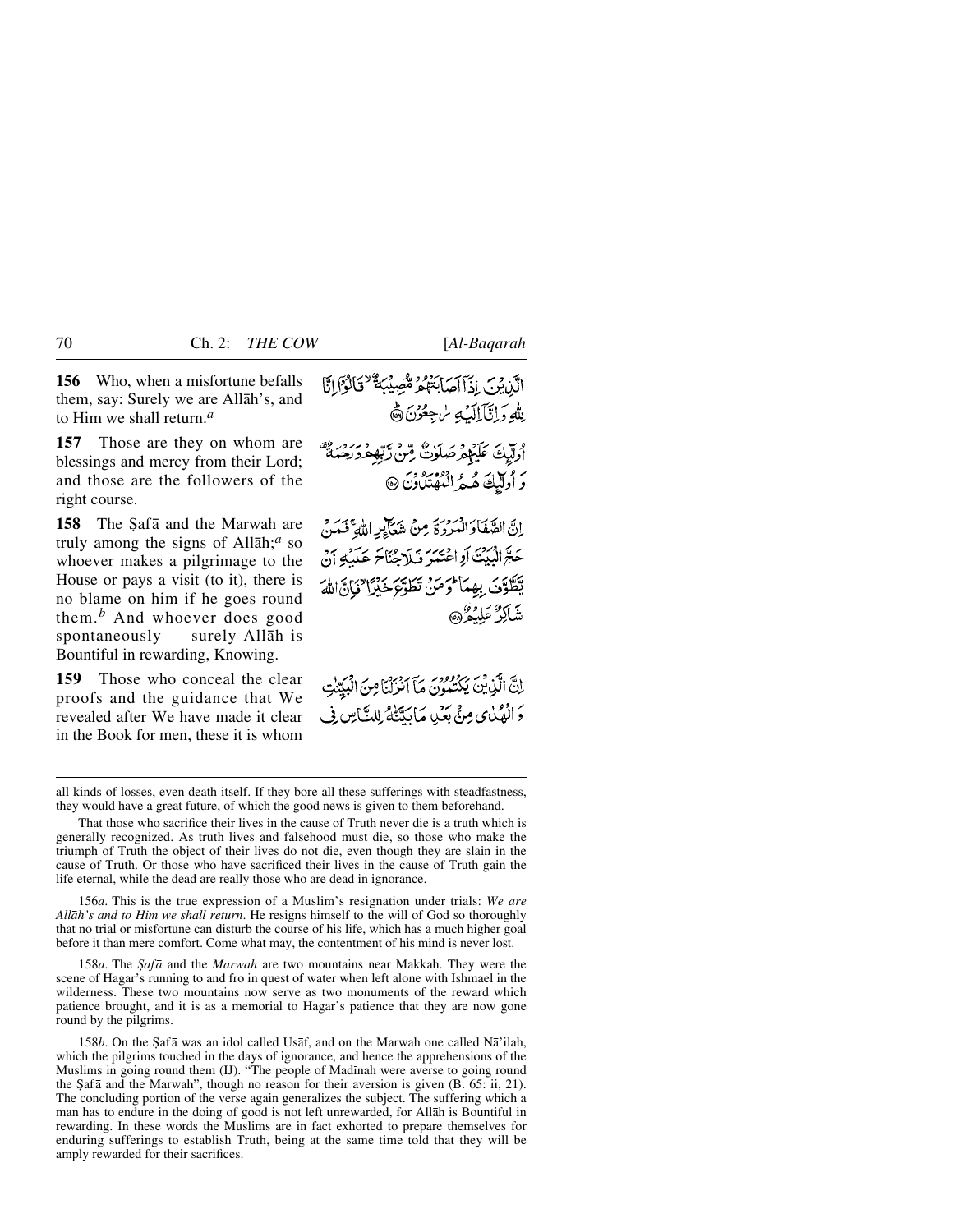**156** Who, when a misfortune befalls them, say: Surely we are Allåh's, and to Him we shall return.*<sup>a</sup>*

**157** Those are they on whom are blessings and mercy from their Lord; and those are the followers of the right course.

**158** The Safa and the Marwah are truly among the signs of Allåh;*<sup>a</sup>* so whoever makes a pilgrimage to the House or pays a visit (to it), there is no blame on him if he goes round them.*<sup>b</sup>* And whoever does good spontaneously — surely Allåh is Bountiful in rewarding, Knowing.

**159** Those who conceal the clear proofs and the guidance that We revealed after We have made it clear in the Book for men, these it is whom

الَّذِينَ إِذَاآَهَا بَعْهُمْ مُّصِيْبَةٌ "قَالَوْالِنَّا لِلَّهِ وَإِنَّآَ إِلَيْكَ سُجِعُوْنَ ۞ أُولِّيكَ عَلَيْهِمْ صَلَوٰتٌ مِّنْ رَّبِّهِمْ وَرَحِمَةٌ رَ أُولَيْكَ هُهُ الْمُهْتَدُونَ @ إِنَّ الصَّفَادَ الْمَرْدِيِّ مِنْ شَعَالِبِهِ اللَّهِ فَمَنْ حَةً الْبَيْتَ أَوِاعْتَنِهَرَ فَبَلَاحُنَاحَ عَلَيْكَ أَنْ

يَطَّوَنَ بِهِمَأْ وَمَنْ تَطَوَّعَ خَيْرًا فَانَّ اللَّهَ شاكرٌ عَلْبُهُ ٰ ۞

إِنَّ الَّذِينَ يَكْتَبُونَ مَآ الزِّلْيَامِنَ الْبَدِّينَ وَالْمِثْيُنِي مِنْيَ بَعْيِدِ مَا يَدَّنَّهُ لِلدَّبَاسِ فِي

156*a*. This is the true expression of a Muslim's resignation under trials: *We are Allåh's and to Him we shall return*. He resigns himself to the will of God so thoroughly that no trial or misfortune can disturb the course of his life, which has a much higher goal before it than mere comfort. Come what may, the contentment of his mind is never lost.

158*a*. The *Şafā* and the *Marwah* are two mountains near Makkah. They were the scene of Hagar's running to and fro in quest of water when left alone with Ishmael in the wilderness. These two mountains now serve as two monuments of the reward which patience brought, and it is as a memorial to Hagar's patience that they are now gone round by the pilgrims.

158*b*. On the Şafā was an idol called Usaf, and on the Marwah one called Na'ilah, which the pilgrims touched in the days of ignorance, and hence the apprehensions of the Muslims in going round them (IJ). "The people of Madinah were averse to going round the Şafā and the Marwah", though no reason for their aversion is given  $(B. 65: ii, 21)$ . The concluding portion of the verse again generalizes the subject. The suffering which a man has to endure in the doing of good is not left unrewarded, for Allåh is Bountiful in rewarding. In these words the Muslims are in fact exhorted to prepare themselves for enduring sufferings to establish Truth, being at the same time told that they will be amply rewarded for their sacrifices.

all kinds of losses, even death itself. If they bore all these sufferings with steadfastness, they would have a great future, of which the good news is given to them beforehand.

That those who sacrifice their lives in the cause of Truth never die is a truth which is generally recognized. As truth lives and falsehood must die, so those who make the triumph of Truth the object of their lives do not die, even though they are slain in the cause of Truth. Or those who have sacrificed their lives in the cause of Truth gain the life eternal, while the dead are really those who are dead in ignorance.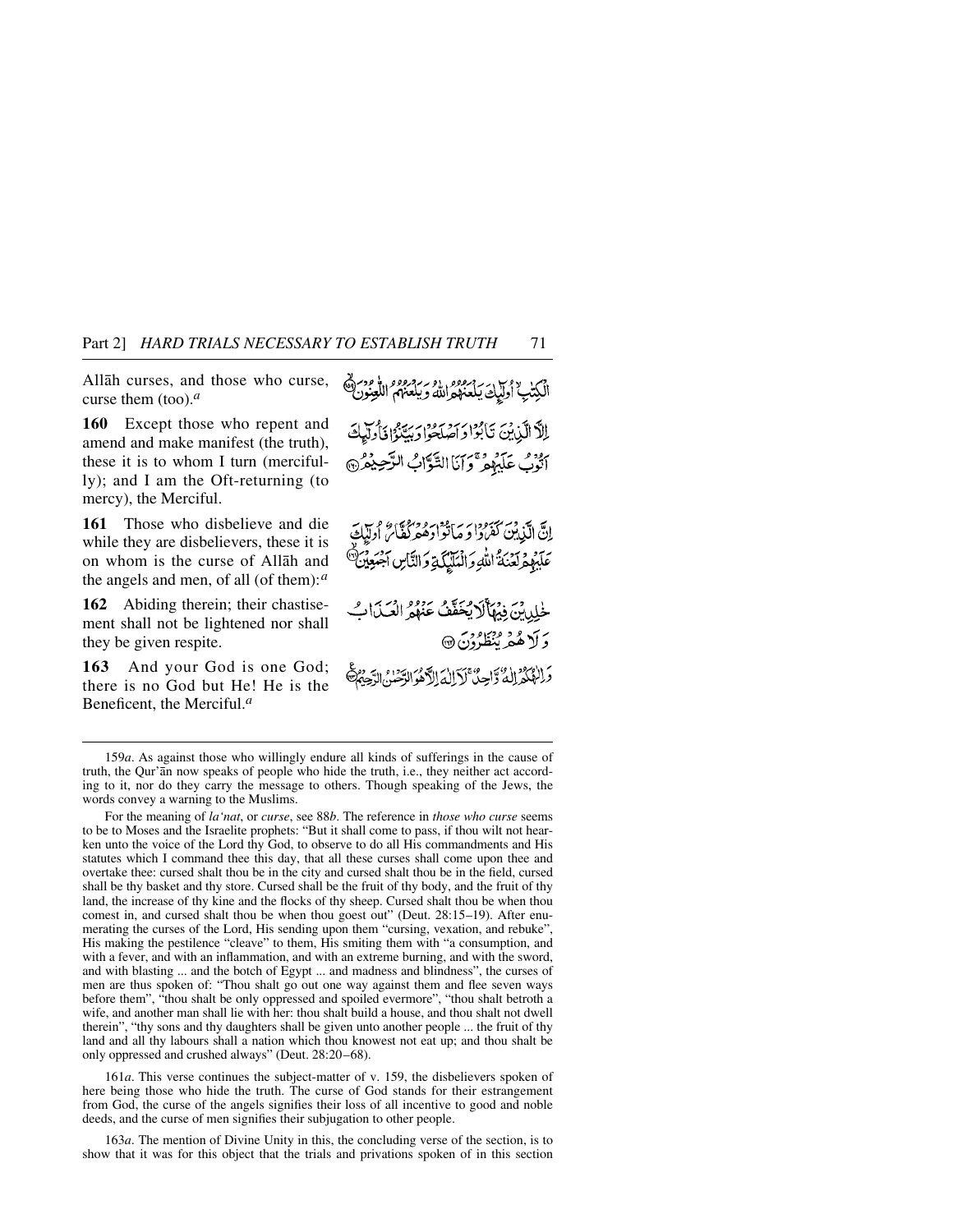Allåh curses, and those who curse, curse them (too).*<sup>a</sup>*

**160** Except those who repent and amend and make manifest (the truth), these it is to whom I turn (mercifully); and I am the Oft-returning (to mercy), the Merciful.

**161** Those who disbelieve and die while they are disbelievers, these it is on whom is the curse of Allåh and the angels and men, of all (of them):*<sup>a</sup>*

**162** Abiding therein; their chastisement shall not be lightened nor shall they be given respite.

**163** And your God is one God; there is no God but He! He is the Beneficent, the Merciful.*<sup>a</sup>*

```
الْكِتْبُ أُولَيْكَ يَلْعَنّْهُوَاللَّهُ وَيَلْعَنَّهُمُ اللَّغِيْوَنَ ﴾<br>الْكِتْبُ أُولَيْكَ يَلْعَنّْهُوَاللَّهُ وَيَلْعَنَّهُمُ اللَّغِيْوَنَ ﴾
 اللَّا الَّذِينَ تَأْبُوْا وَآصَلَحُوا وَبِيَّةً إِذَا دَلِيَكَ
ابْوْبُ عَلَيْهِمْ ۚ وَإِيَّاالتَّوَّابُ الرَّحِيْمُرُ ۞
```
إِنَّ الَّذِينَ كَفَرُوا وَمَأْتُوا وَهُوَ كُمَّامٌ أُولَيْكَ عَلَيْهِمْ لِعَنْدَ اللَّهِ وَالْمَلَيْكَةِ وَالنَّاسِ الْجَمْعِيْنَ ۖ

خلدين فيهاكر يحقق عنده العبدان دَ لَا هُمْرُ بُنْظَرُدْنَ۞

دَا الْمُعْدَانِ وَالْحِينَ لَاَ اللَّهَ الرَّهُ الرَّحْسَنُ

For the meaning of *la'nat*, or *curse*, see 88*b*. The reference in *those who curse* seems to be to Moses and the Israelite prophets: "But it shall come to pass, if thou wilt not hearken unto the voice of the Lord thy God, to observe to do all His commandments and His statutes which I command thee this day, that all these curses shall come upon thee and overtake thee: cursed shalt thou be in the city and cursed shalt thou be in the field, cursed shall be thy basket and thy store. Cursed shall be the fruit of thy body, and the fruit of thy land, the increase of thy kine and the flocks of thy sheep. Cursed shalt thou be when thou comest in, and cursed shalt thou be when thou goest out" (Deut. 28:15–19). After enumerating the curses of the Lord, His sending upon them "cursing, vexation, and rebuke", His making the pestilence "cleave" to them, His smiting them with "a consumption, and with a fever, and with an inflammation, and with an extreme burning, and with the sword, and with blasting ... and the botch of Egypt ... and madness and blindness", the curses of men are thus spoken of: "Thou shalt go out one way against them and flee seven ways before them", "thou shalt be only oppressed and spoiled evermore", "thou shalt betroth a wife, and another man shall lie with her: thou shalt build a house, and thou shalt not dwell therein", "thy sons and thy daughters shall be given unto another people ... the fruit of thy land and all thy labours shall a nation which thou knowest not eat up; and thou shalt be only oppressed and crushed always" (Deut. 28:20–68).

161*a*. This verse continues the subject-matter of v. 159, the disbelievers spoken of here being those who hide the truth. The curse of God stands for their estrangement from God, the curse of the angels signifies their loss of all incentive to good and noble deeds, and the curse of men signifies their subjugation to other people.

163*a*. The mention of Divine Unity in this, the concluding verse of the section, is to show that it was for this object that the trials and privations spoken of in this section

<sup>159</sup>*a*. As against those who willingly endure all kinds of sufferings in the cause of truth, the Qur'ån now speaks of people who hide the truth, i.e., they neither act according to it, nor do they carry the message to others. Though speaking of the Jews, the words convey a warning to the Muslims.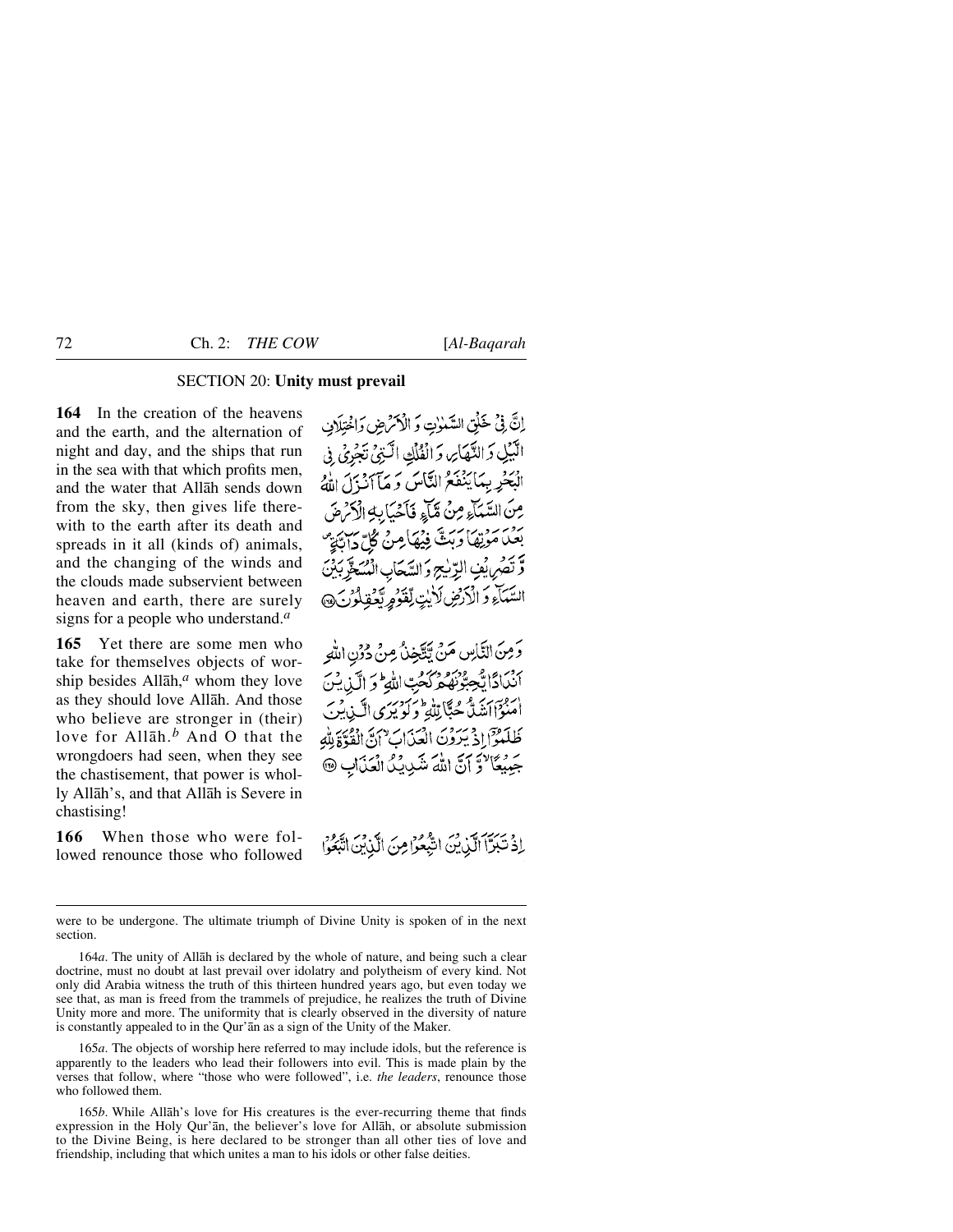# SECTION 20: **Unity must prevail**

**164** In the creation of the heavens and the earth, and the alternation of night and day, and the ships that run in the sea with that which profits men, and the water that Allåh sends down from the sky, then gives life therewith to the earth after its death and spreads in it all (kinds of) animals, and the changing of the winds and the clouds made subservient between heaven and earth, there are surely signs for a people who understand.*<sup>a</sup>*

**165** Yet there are some men who take for themselves objects of worship besides Allåh,*<sup>a</sup>* whom they love as they should love Allåh. And those who believe are stronger in (their) love for Allåh.*<sup>b</sup>* And O that the wrongdoers had seen, when they see the chastisement, that power is wholly Allåh's, and that Allåh is Severe in chastising!

**166** When those who were followed renounce those who followed إِنَّ فِي خَلْقِ السَّمْوٰتِ وَ الْأَكْرَضِ وَاخْتِلَافِ الَّبَيْلِ وَالتَّهَايِّ وَالْفُلْكِ الَّتِيُّ تَجْرِئُ فِي الْبَحْرِ بِمَا يَنْفَعُ النَّاسَ وَ مَآانَزِلَ اللَّهُ مِنَ السَّمَاءِ مِنْ مَّآءٍ فَأَحْيَابِهِ الْآَرَةِ بِرْيَنِ مَرْتِهَا دَبِتٌ فِيُهَا مِنْ كُلِّ دَابِّيَتِ دَّ تَصَرِّيْفِ الرِّيْجِ وَالسَّحَابِ الْمُسَخَّرِبَ السَّكَاءِ وَ الْأَرْضِ لَأَيْتِ لِّقَوْمٍ يَّعْفِلُوْنَ،

وَمِنَ النَّاسِ مَنْ يَتَّخِذُ مِنْ دُونِ اللَّهِ أنَّدَادًا يُجِبُّرُنَّهُ مِرْكَّحِبِّ اللَّهِ ۖ وَ الَّذِينَ ن وسر رو و سي الله اس در<br>امنواانشا جُبّا لِللهِ ولويوي الّيابينَ طَلَّمُوَٓا إِذْ يَرَوْرَ الْعَدَابِ ۗ إِنَّ الْقُوَّةَ لِلَّهِ جَمِيعًا وَّ آنَّ اللَّهَ شَدِيدًا الْعَذَابِ @

إِذْ تَبَرَّآ الَّذِينَ اتَّبُعُوْامِنَ الَّذِينَ اتَّبَعُوا

were to be undergone. The ultimate triumph of Divine Unity is spoken of in the next section.

164*a*. The unity of Allåh is declared by the whole of nature, and being such a clear doctrine, must no doubt at last prevail over idolatry and polytheism of every kind. Not only did Arabia witness the truth of this thirteen hundred years ago, but even today we see that, as man is freed from the trammels of prejudice, he realizes the truth of Divine Unity more and more. The uniformity that is clearly observed in the diversity of nature is constantly appealed to in the Qur'ån as a sign of the Unity of the Maker.

165*a*. The objects of worship here referred to may include idols, but the reference is apparently to the leaders who lead their followers into evil. This is made plain by the verses that follow, where "those who were followed", i.e. *the leaders*, renounce those who followed them.

165*b*. While Allåh's love for His creatures is the ever-recurring theme that finds expression in the Holy Qur'ån, the believer's love for Allåh, or absolute submission to the Divine Being, is here declared to be stronger than all other ties of love and friendship, including that which unites a man to his idols or other false deities.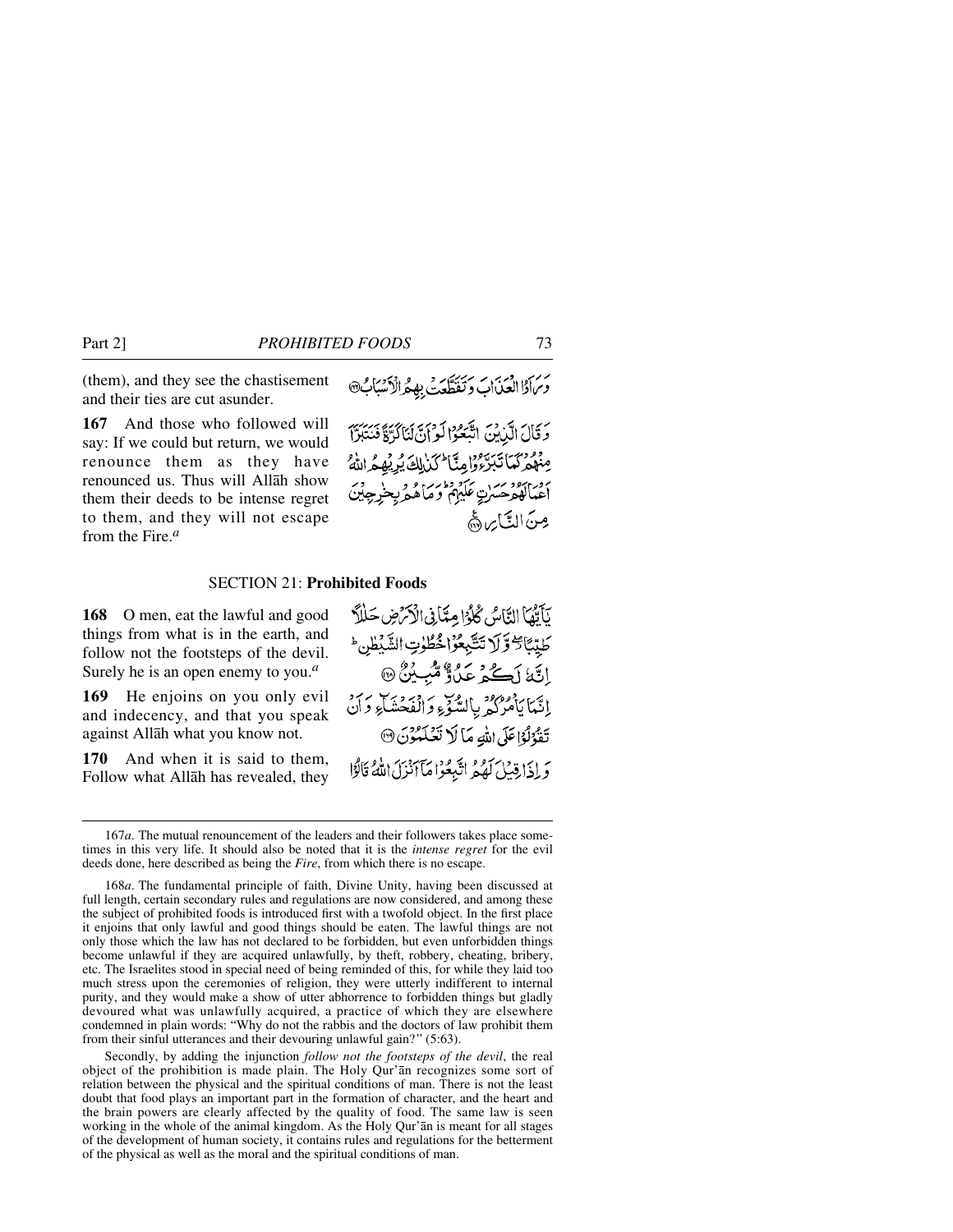(them), and they see the chastisement and their ties are cut asunder.

**167** And those who followed will say: If we could but return, we would renounce them as they have renounced us. Thus will Allåh show them their deeds to be intense regret to them, and they will not escape from the Fire.*<sup>a</sup>*

### SECTION 21: **Prohibited Foods**

**168** O men, eat the lawful and good things from what is in the earth, and follow not the footsteps of the devil. Surely he is an open enemy to you.*<sup>a</sup>*

**169** He enjoins on you only evil and indecency, and that you speak against Allåh what you know not.

**170** And when it is said to them, Follow what Allåh has revealed, they

Secondly, by adding the injunction *follow not the footsteps of the devil*, the real object of the prohibition is made plain. The Holy Qur'ån recognizes some sort of relation between the physical and the spiritual conditions of man. There is not the least doubt that food plays an important part in the formation of character, and the heart and the brain powers are clearly affected by the quality of food. The same law is seen working in the whole of the animal kingdom. As the Holy Qur'ån is meant for all stages of the development of human society, it contains rules and regulations for the betterment of the physical as well as the moral and the spiritual conditions of man.

نَأَتْمَا النَّاسُ كُلُوْا مِتَأَنِي الْأَكْرَضِ حَلَلاً كَلِيِّئَائِ وَّلَا تَتَبِّعُوْا جُطُوتِ الشَّبْطُنِ ۖ اِنَّةُ لَكُمْ عَلَّاً مُّبِيْنٌ @ إِنَّمَا يَأْمُرُكُمْ بِالسَّوِّءِ وَالْفَحْشَاءِ وَأَنْ تَقْدُلُوْاعَلَى اللَّهِ مَا لَا نَعْلَمْوُنَ ۞ وَ إِذَا قِيَلَ لَهُمُ اتَّبِعُوْا مَآ اَنْزَلَ اللَّهُ قَالُوْا

بر دبر دبر به سرس برسد و به دبر برسان<br>وبرادا العبداب و تقطعت به د انسباب

وَقَالَ الَّذِينَ اتَّبَعُوْا لَوْ أَنَّ لَنَاكُرٌةً فَنُتَبَرٌّا عِنْهُمْ كَمَا تَبَرَّوُ وَإِمِنَّا لَكَنْ لِكَ يُرِيْهِمُ اللَّهُ برو برود بر<br>اعتالهوحسن عليهم وماههريجنيرچين مِنَ التَّاسِ هَا

<sup>167</sup>*a*. The mutual renouncement of the leaders and their followers takes place sometimes in this very life. It should also be noted that it is the *intense regret* for the evil deeds done, here described as being the *Fire*, from which there is no escape.

<sup>168</sup>*a*. The fundamental principle of faith, Divine Unity, having been discussed at full length, certain secondary rules and regulations are now considered, and among these the subject of prohibited foods is introduced first with a twofold object. In the first place it enjoins that only lawful and good things should be eaten. The lawful things are not only those which the law has not declared to be forbidden, but even unforbidden things become unlawful if they are acquired unlawfully, by theft, robbery, cheating, bribery, etc. The Israelites stood in special need of being reminded of this, for while they laid too much stress upon the ceremonies of religion, they were utterly indifferent to internal purity, and they would make a show of utter abhorrence to forbidden things but gladly devoured what was unlawfully acquired, a practice of which they are elsewhere condemned in plain words: "Why do not the rabbis and the doctors of law prohibit them from their sinful utterances and their devouring unlawful gain?" (5:63).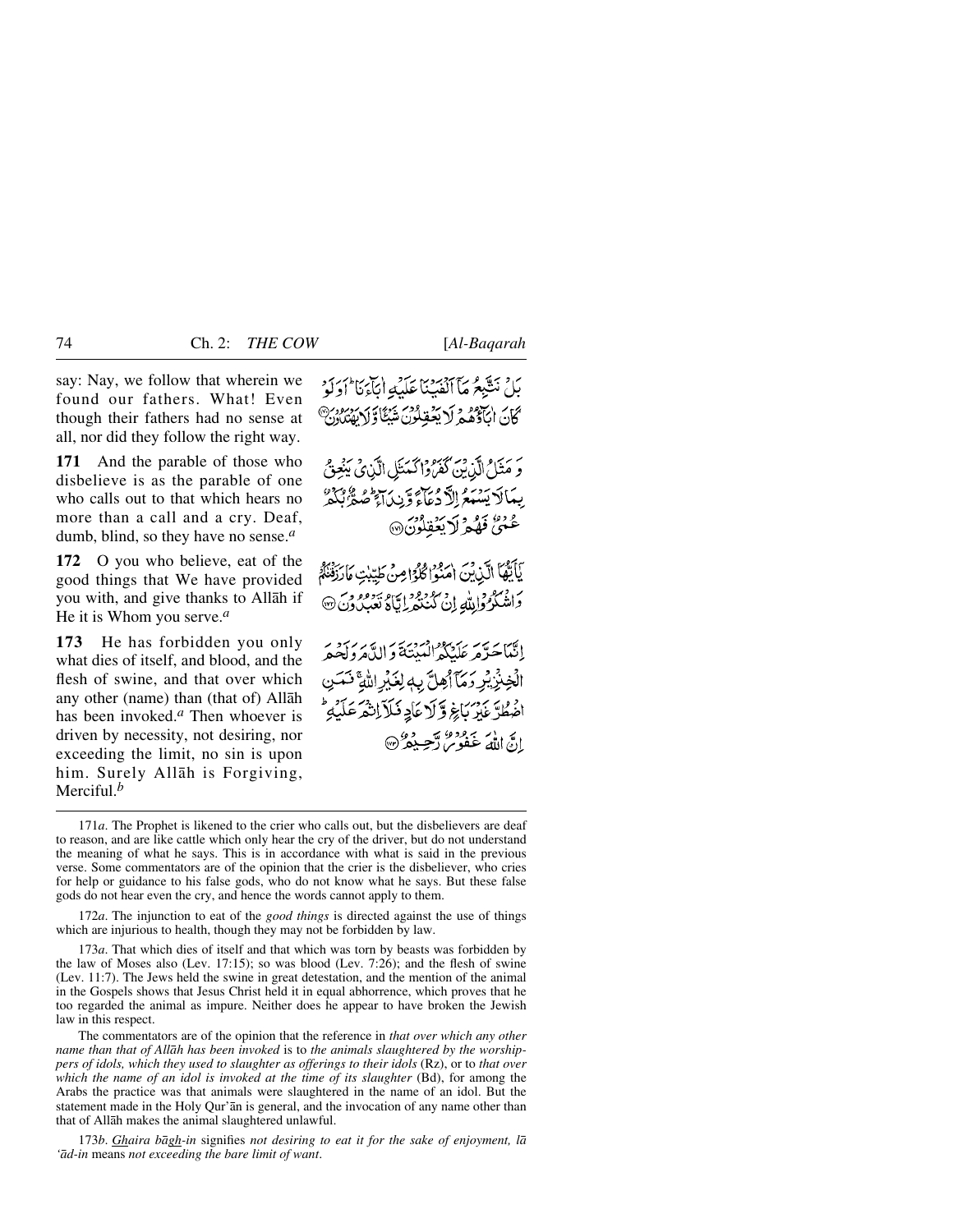say: Nay, we follow that wherein we found our fathers. What! Even though their fathers had no sense at all, nor did they follow the right way.

**171** And the parable of those who disbelieve is as the parable of one who calls out to that which hears no more than a call and a cry. Deaf, dumb, blind, so they have no sense.*<sup>a</sup>*

**172** O you who believe, eat of the good things that We have provided you with, and give thanks to Allåh if He it is Whom you serve.*<sup>a</sup>*

**173** He has forbidden you only what dies of itself, and blood, and the flesh of swine, and that over which any other (name) than (that of) Allåh has been invoked.*<sup>a</sup>* Then whoever is driven by necessity, not desiring, nor exceeding the limit, no sin is upon him. Surely Allåh is Forgiving, Merciful.*<sup>b</sup>*

بَلْ نَتَيْبِعُ مَآ ٱلۡفَبَنَاعَلَيۡهِ اٰيَٰٓآءَكَآ ٗ أَوَلَوۡ كَانَ اٰبَأَدُّهُمۡ لَا يَعۡقِلُونَ شَبۡئًاۚ وَلَا يَعۡسُونَ وَ مَثَلُ الَّذِينَ كَفَرُوا كَمَنَلِ الَّذِي يَغِنُّ بِعَالَا يَسْبَعُ الدَّدْعَآءَ وَّيْدَمَآ صَفَّهُ نَكْفَهُ عُنِيٌّ فَهُدْ لَا يَعْقِلُونَ® يَأَيُّهَا الَّذِينَ امْنُوا كُلُوَّا مِنْ طَيِّبْتِ مَارَزْقَنَّهُمْ وَاشْکُرُوْالِلَّهِ إِنْ کُنْنَهْرِ إِيَّاهُ نَعِبُدُوْنَ ۞ إِنَّمَا حَيَّ مَر عَلَيْكُمُ الْعَيْنَةَ وَالدَّهْرَ وَلَحْيَدَ الَّخِنْزِ بِرِ دَمَّآ أَهِلَّ بِهِ لِغَيْرِ اللَّهِ ۚ نَعَسَ افراد عبر بَاغِ وَلَا عَادِ فَلاَ إِنْهُمْ عَلَيْهِ ۖ ات الله عفومر آجسده من .<br>إِنَّ اللهُ عَفُومٍ آجِسِدَهُ (%

172*a*. The injunction to eat of the *good things* is directed against the use of things which are injurious to health, though they may not be forbidden by law.

173*a*. That which dies of itself and that which was torn by beasts was forbidden by the law of Moses also (Lev. 17:15); so was blood (Lev. 7:26); and the flesh of swine (Lev. 11:7). The Jews held the swine in great detestation, and the mention of the animal in the Gospels shows that Jesus Christ held it in equal abhorrence, which proves that he too regarded the animal as impure. Neither does he appear to have broken the Jewish law in this respect.

The commentators are of the opinion that the reference in *that over which any other name than that of Allåh has been invoked* is to *the animals slaughtered by the worshippers of idols, which they used to slaughter as offerings to their idols* (Rz), or to *that over which the name of an idol is invoked at the time of its slaughter* (Bd), for among the Arabs the practice was that animals were slaughtered in the name of an idol. But the statement made in the Holy Qur'ån is general, and the invocation of any name other than that of Allåh makes the animal slaughtered unlawful.

173*b*. *Ghaira bågh-in* signifies *not desiring to eat it for the sake of enjoyment, lå 'åd-in* means *not exceeding the bare limit of want*.

<sup>171</sup>*a*. The Prophet is likened to the crier who calls out, but the disbelievers are deaf to reason, and are like cattle which only hear the cry of the driver, but do not understand the meaning of what he says. This is in accordance with what is said in the previous verse. Some commentators are of the opinion that the crier is the disbeliever, who cries for help or guidance to his false gods, who do not know what he says. But these false gods do not hear even the cry, and hence the words cannot apply to them.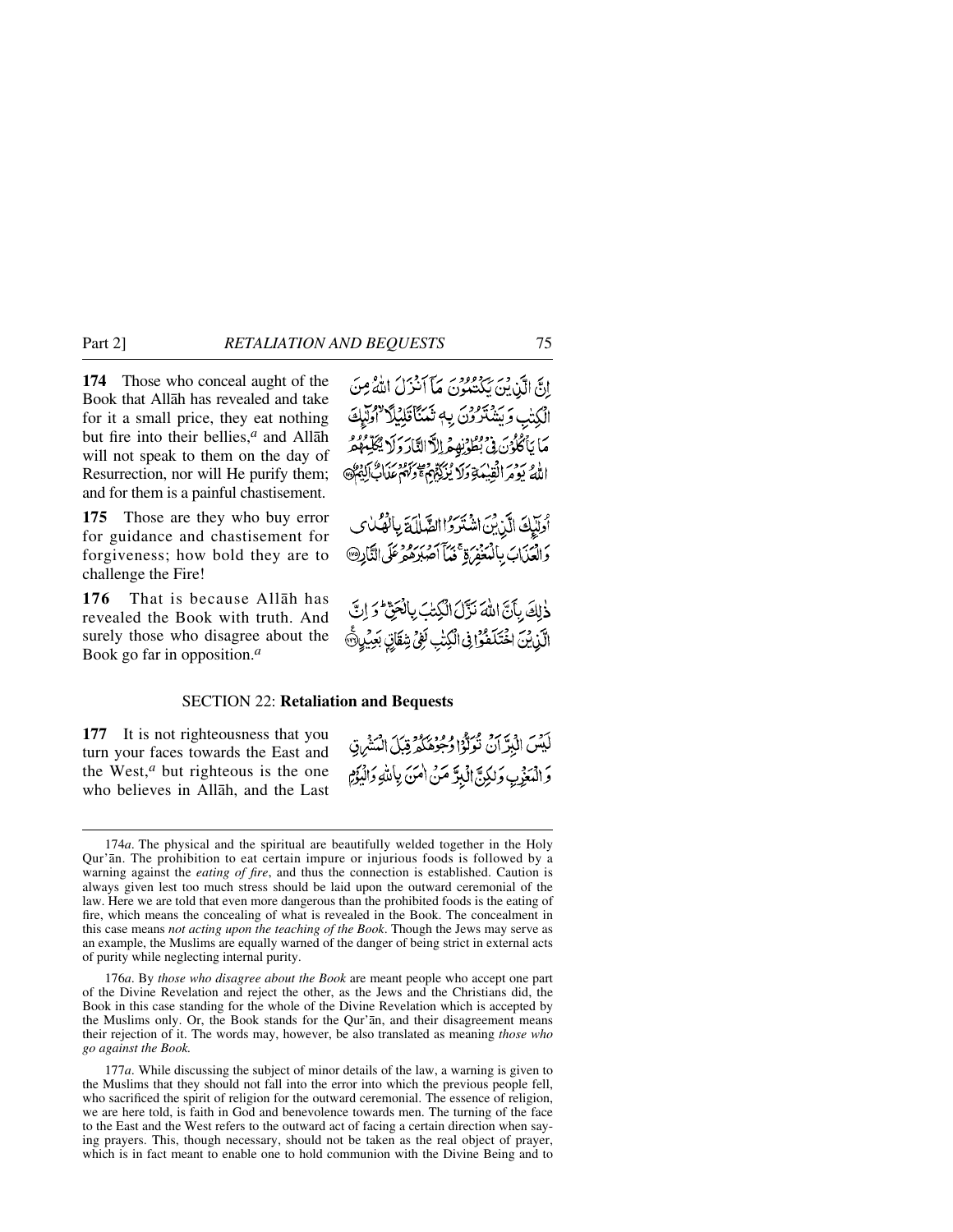**174** Those who conceal aught of the Book that Allåh has revealed and take for it a small price, they eat nothing but fire into their bellies,*<sup>a</sup>* and Allåh will not speak to them on the day of Resurrection, nor will He purify them; and for them is a painful chastisement.

**175** Those are they who buy error for guidance and chastisement for forgiveness; how bold they are to challenge the Fire!

**176** That is because Allåh has revealed the Book with truth. And surely those who disagree about the Book go far in opposition.*<sup>a</sup>*

إِنَّ الَّذِينَ يَكْتُبُونَ مَآ أَنْزِلَ اللَّهُ مِنَ الْكِتْبِ وَيَشْتَرُونَ بِهِ تَمَنَّاْتَلِيْلًا لِهُوَّلِيْكَ مَا بَأَكْلُوْنَ فِي بُطُوْنِهِ مِهِ اللَّاالِثَارَ وَلَا يُجَلِّهُ الأو بردير القبيكةِ وَلا يُزْرِكُمْهُمْ وَلَهُمْ عَلَالٌ إِنَّ كَمَاتٍ

أوليكَ الَّذِينَ اشْتَرَوْا الصَّلَامَةَ بِالْمُكْسَى والعَيْابَ بِالْمُغَفِّرَةِ مَحْمَداً مُهْدِهِ عَلَى النَّادِرِ @

دٰلِكَ بِأَنَّ اللَّهَ نَزَّلَ الْكِتِبَ بِالْحَقِّ وَ إِنَّ الَّذِينَ اخْتَلَفُوْافِى الْكِتْبِ لَفِي شِقَانِ بَعِيْهِ هَ

لَيْسَ الْبَرِّ أَنْ تُوَلَّوْا وُجُوهَكُمْ قِبَلَ الْمَشْرِقِ وَ الْمَغْرِبِ وَلَكِنَّ الْبِدَّ مَنْ اٰمَنَ بِاَلِلَّهِ وَالْبَوِّمِ

# SECTION 22: **Retaliation and Bequests**

**177** It is not righteousness that you turn your faces towards the East and the West,*<sup>a</sup>* but righteous is the one who believes in Allåh, and the Last

<sup>174</sup>*a*. The physical and the spiritual are beautifully welded together in the Holy Qur'ån. The prohibition to eat certain impure or injurious foods is followed by a warning against the *eating of fire*, and thus the connection is established. Caution is always given lest too much stress should be laid upon the outward ceremonial of the law. Here we are told that even more dangerous than the prohibited foods is the eating of fire, which means the concealing of what is revealed in the Book. The concealment in this case means *not acting upon the teaching of the Book*. Though the Jews may serve as an example, the Muslims are equally warned of the danger of being strict in external acts of purity while neglecting internal purity.

<sup>176</sup>*a*. By *those who disagree about the Book* are meant people who accept one part of the Divine Revelation and reject the other, as the Jews and the Christians did, the Book in this case standing for the whole of the Divine Revelation which is accepted by the Muslims only. Or, the Book stands for the Qur'ån, and their disagreement means their rejection of it. The words may, however, be also translated as meaning *those who go against the Book.*

<sup>177</sup>*a*. While discussing the subject of minor details of the law, a warning is given to the Muslims that they should not fall into the error into which the previous people fell, who sacrificed the spirit of religion for the outward ceremonial. The essence of religion, we are here told, is faith in God and benevolence towards men. The turning of the face to the East and the West refers to the outward act of facing a certain direction when saying prayers. This, though necessary, should not be taken as the real object of prayer, which is in fact meant to enable one to hold communion with the Divine Being and to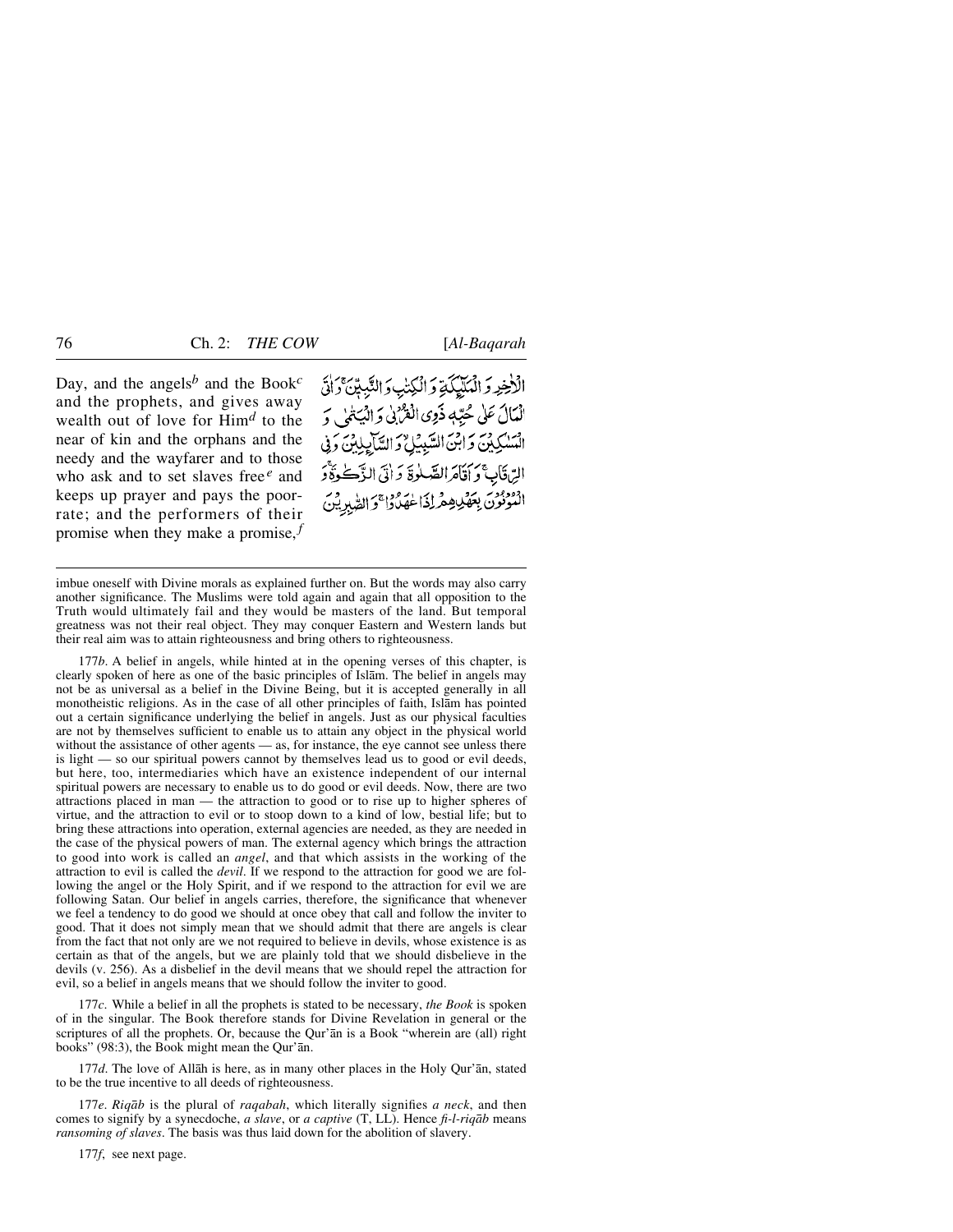Day, and the angels*<sup>b</sup>* and the Book*<sup>c</sup>* and the prophets, and gives away wealth out of love for Him*<sup>d</sup>* to the near of kin and the orphans and the needy and the wayfarer and to those who ask and to set slaves free*<sup>e</sup>* and keeps up prayer and pays the poorrate; and the performers of their promise when they make a promise, $f$  الْأَخِرِ وَالْمَلَيْكَةِ وَالْكِتْبِ وَالنَّبِيِّنَ وَالْ الْمَالَ عَلَى حُبِّهٖ ذَوِي الْقُرْبِي وَ الْيَتْمَىٰ وَ السكرين وَابنَ السَّبِيُلُ وَالسَّايِلِينَ وَبِي الِّ قَابِ ۚ وَ أَقَامَ الصَّلٰوةَ وَ أَتَى الزَّكْرَةُ وَ النونون بعقل هِ داذا عِهدا والطَّبِرِين

177*b*. A belief in angels, while hinted at in the opening verses of this chapter, is clearly spoken of here as one of the basic principles of Islåm. The belief in angels may not be as universal as a belief in the Divine Being, but it is accepted generally in all monotheistic religions. As in the case of all other principles of faith, Islåm has pointed out a certain significance underlying the belief in angels. Just as our physical faculties are not by themselves sufficient to enable us to attain any object in the physical world without the assistance of other agents — as, for instance, the eye cannot see unless there is light — so our spiritual powers cannot by themselves lead us to good or evil deeds, but here, too, intermediaries which have an existence independent of our internal spiritual powers are necessary to enable us to do good or evil deeds. Now, there are two attractions placed in man — the attraction to good or to rise up to higher spheres of virtue, and the attraction to evil or to stoop down to a kind of low, bestial life; but to bring these attractions into operation, external agencies are needed, as they are needed in the case of the physical powers of man. The external agency which brings the attraction to good into work is called an *angel*, and that which assists in the working of the attraction to evil is called the *devil*. If we respond to the attraction for good we are following the angel or the Holy Spirit, and if we respond to the attraction for evil we are following Satan. Our belief in angels carries, therefore, the significance that whenever we feel a tendency to do good we should at once obey that call and follow the inviter to good. That it does not simply mean that we should admit that there are angels is clear from the fact that not only are we not required to believe in devils, whose existence is as certain as that of the angels, but we are plainly told that we should disbelieve in the devils (v. 256). As a disbelief in the devil means that we should repel the attraction for evil, so a belief in angels means that we should follow the inviter to good.

177*c*. While a belief in all the prophets is stated to be necessary, *the Book* is spoken of in the singular. The Book therefore stands for Divine Revelation in general or the scriptures of all the prophets. Or, because the Qur'ån is a Book "wherein are (all) right books" (98:3), the Book might mean the Qur'ån.

177*d*. The love of Allåh is here, as in many other places in the Holy Qur'ån, stated to be the true incentive to all deeds of righteousness.

177*e*. *Riqåb* is the plural of *raqabah*, which literally signifies *a neck*, and then comes to signify by a synecdoche, *a slave*, or *a captive* (T, LL). Hence *fi-l-riqåb* means *ransoming of slaves*. The basis was thus laid down for the abolition of slavery.

177*f*, see next page.

imbue oneself with Divine morals as explained further on. But the words may also carry another significance. The Muslims were told again and again that all opposition to the Truth would ultimately fail and they would be masters of the land. But temporal greatness was not their real object. They may conquer Eastern and Western lands but their real aim was to attain righteousness and bring others to righteousness.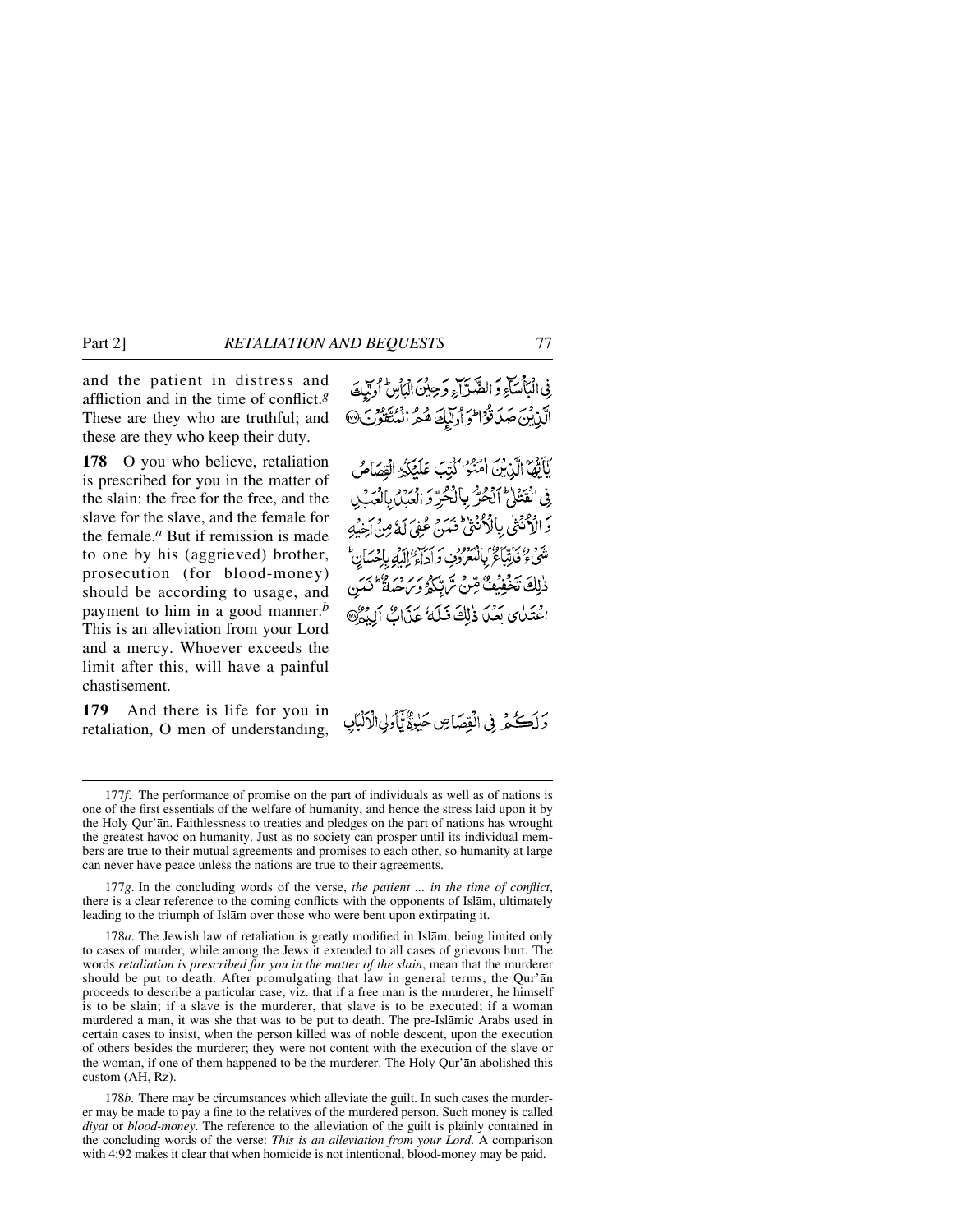and the patient in distress and affliction and in the time of conflict.*<sup>g</sup>* These are they who are truthful; and these are they who keep their duty.

**178** O you who believe, retaliation is prescribed for you in the matter of the slain: the free for the free, and the slave for the slave, and the female for the female.*<sup>a</sup>* But if remission is made to one by his (aggrieved) brother, prosecution (for blood-money) should be according to usage, and payment to him in a good manner.*<sup>b</sup>* This is an alleviation from your Lord and a mercy. Whoever exceeds the limit after this, will have a painful chastisement.

**179** And there is life for you in retaliation, O men of understanding,

فِی الْبَاْسَاءِ وَ الضَّدَّاءِ وَحِینَ الْبَاْسِ أُولِّیاتَ الَّذِينَ صَدَقَوْاللَّهُ وَتَبَلِّعَهُ هُمُّ الْمُتَّقَوُّنَ @

يَأَيُّهَا الَّذِينَ امْنُوْا كُتِبَ عَلَيْكُمُ الْقِصَاصُ فِى الْقَتَلِىٰ ٱلْحُرِّ بِالْحُرِّ وَ الْعَبْلُ بِالْعَبَىٰ دَ الْأَدْنَٰتُي بِالْأَدْنُنِيُّ فَيَدَرْ عُفِيَ لَهُ مِنْ أَخِيبُهِ تَّنَبِي ﴿ فَأَنِّبَاءٌ ۚ بِالْمُعْرَوْبِ وَ رَبِّي إِبْرَ بِإِحْسَانٍ ۖ ذٰلِكَ تَخْفِيْفٌ قِنْ تَرَبِّكُمْ وَبِرَ مِنْ كَانَتِي اعْتَدٰى بَعْدَا ذٰلِكَ فَيَلَهُ عَذَابٌ ٱلْدَهُ

وَلَكُمْ فِي الْقِصَاصِ حَبِيقٌ تَأْوِلِي الْأَنْبَابِ

177*g*. In the concluding words of the verse, *the patient ... in the time of conflict*, there is a clear reference to the coming conflicts with the opponents of Islåm, ultimately leading to the triumph of Islåm over those who were bent upon extirpating it.

178*a*. The Jewish law of retaliation is greatly modified in Islåm, being limited only to cases of murder, while among the Jews it extended to all cases of grievous hurt. The words *retaliation is prescribed for you in the matter of the slain*, mean that the murderer should be put to death. After promulgating that law in general terms, the Qur'ån proceeds to describe a particular case, viz. that if a free man is the murderer, he himself is to be slain; if a slave is the murderer, that slave is to be executed; if a woman murdered a man, it was she that was to be put to death. The pre-Islåmic Arabs used in certain cases to insist, when the person killed was of noble descent, upon the execution of others besides the murderer; they were not content with the execution of the slave or the woman, if one of them happened to be the murderer. The Holy Qur'ån abolished this custom (AH, Rz).

178*b*. There may be circumstances which alleviate the guilt. In such cases the murderer may be made to pay a fine to the relatives of the murdered person. Such money is called *diyat* or *blood-money*. The reference to the alleviation of the guilt is plainly contained in the concluding words of the verse: *This is an alleviation from your Lord*. A comparison with 4:92 makes it clear that when homicide is not intentional, blood-money may be paid.

<sup>177</sup>*f*. The performance of promise on the part of individuals as well as of nations is one of the first essentials of the welfare of humanity, and hence the stress laid upon it by the Holy Qur'ån. Faithlessness to treaties and pledges on the part of nations has wrought the greatest havoc on humanity. Just as no society can prosper until its individual members are true to their mutual agreements and promises to each other, so humanity at large can never have peace unless the nations are true to their agreements.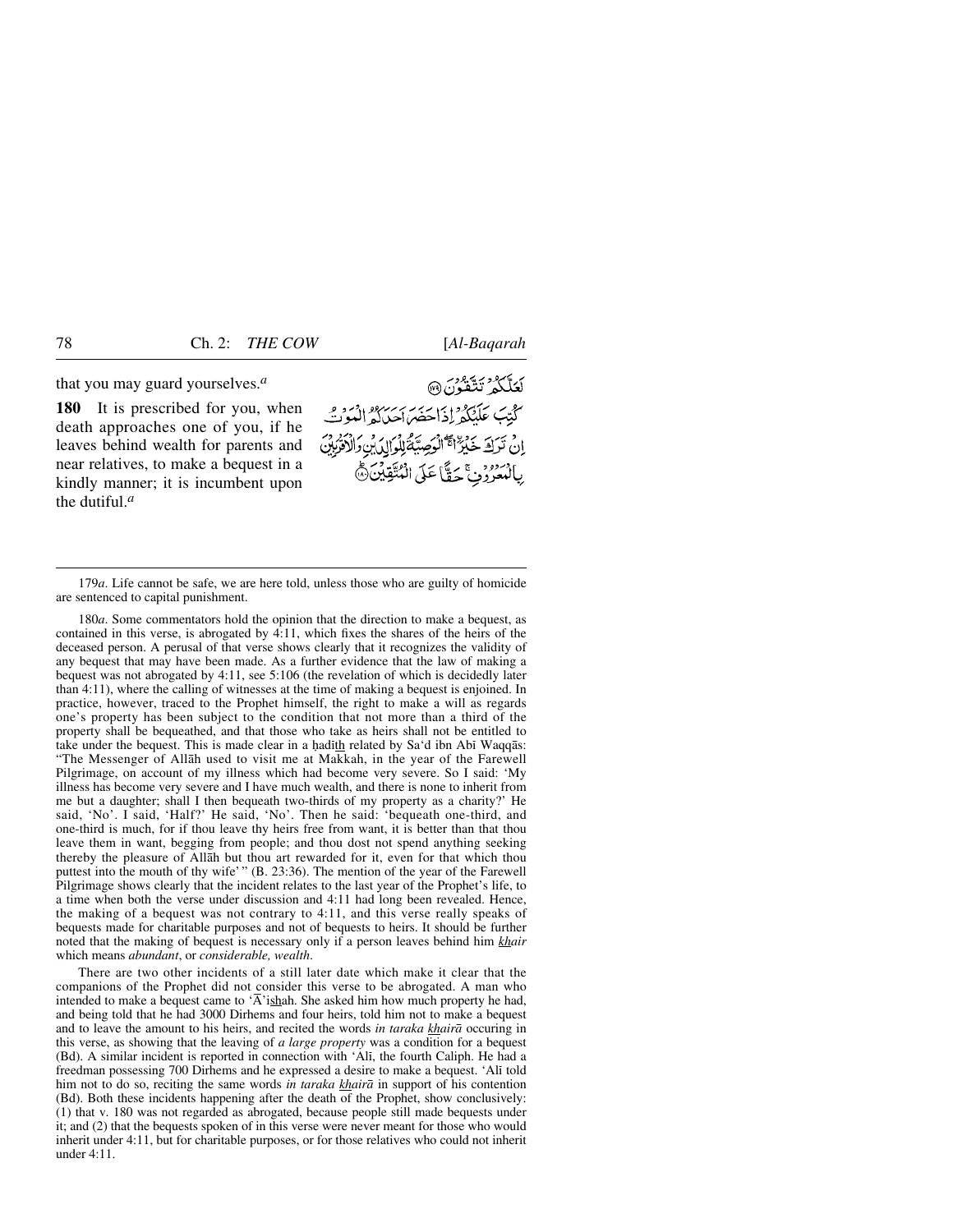that you may guard yourselves.*<sup>a</sup>*

**180** It is prescribed for you, when death approaches one of you, if he leaves behind wealth for parents and near relatives, to make a bequest in a kindly manner; it is incumbent upon the dutiful.*<sup>a</sup>*

كَعَلَّكُمُ تَتَّقُونَ® كَتِبَ عَلَيْكُمْ إِذَا حَصَرَ سِرْرُودِ إِنْهُ وَفِي ا دين سكورة التي الوسية الوالي بن والأديبين بِالْمُعَرُّونِ ۚ حَقَّاً عَلَى الْمُتَّقِينَ۞

179*a*. Life cannot be safe, we are here told, unless those who are guilty of homicide are sentenced to capital punishment.

180*a*. Some commentators hold the opinion that the direction to make a bequest, as contained in this verse, is abrogated by 4:11, which fixes the shares of the heirs of the deceased person. A perusal of that verse shows clearly that it recognizes the validity of any bequest that may have been made. As a further evidence that the law of making a bequest was not abrogated by 4:11, see 5:106 (the revelation of which is decidedly later than 4:11), where the calling of witnesses at the time of making a bequest is enjoined. In practice, however, traced to the Prophet himself, the right to make a will as regards one's property has been subject to the condition that not more than a third of the property shall be bequeathed, and that those who take as heirs shall not be entitled to take under the bequest. This is made clear in a hadith related by  $Sa'd$  ibn Abi Waqq $\bar{a}s$ : "The Messenger of Allåh used to visit me at Makkah, in the year of the Farewell Pilgrimage, on account of my illness which had become very severe. So I said: 'My illness has become very severe and I have much wealth, and there is none to inherit from me but a daughter; shall I then bequeath two-thirds of my property as a charity?' He said, 'No'. I said, 'Half?' He said, 'No'. Then he said: 'bequeath one-third, and one-third is much, for if thou leave thy heirs free from want, it is better than that thou leave them in want, begging from people; and thou dost not spend anything seeking thereby the pleasure of Allåh but thou art rewarded for it, even for that which thou puttest into the mouth of thy wife' " (B. 23:36). The mention of the year of the Farewell Pilgrimage shows clearly that the incident relates to the last year of the Prophet's life, to a time when both the verse under discussion and 4:11 had long been revealed. Hence, the making of a bequest was not contrary to 4:11, and this verse really speaks of bequests made for charitable purposes and not of bequests to heirs. It should be further noted that the making of bequest is necessary only if a person leaves behind him *khair* which means *abundant*, or *considerable, wealth*.

There are two other incidents of a still later date which make it clear that the companions of the Prophet did not consider this verse to be abrogated. A man who intended to make a bequest came to ' $\overline{A}$ 'ishah. She asked him how much property he had, and being told that he had 3000 Dirhems and four heirs, told him not to make a bequest and to leave the amount to his heirs, and recited the words *in taraka khairå* occuring in this verse, as showing that the leaving of *a large property* was a condition for a bequest (Bd). A similar incident is reported in connection with 'Alß, the fourth Caliph. He had a freedman possessing 700 Dirhems and he expressed a desire to make a bequest. 'Alß told him not to do so, reciting the same words *in taraka khairå* in support of his contention (Bd). Both these incidents happening after the death of the Prophet, show conclusively: (1) that v. 180 was not regarded as abrogated, because people still made bequests under it; and (2) that the bequests spoken of in this verse were never meant for those who would inherit under 4:11, but for charitable purposes, or for those relatives who could not inherit under 4:11.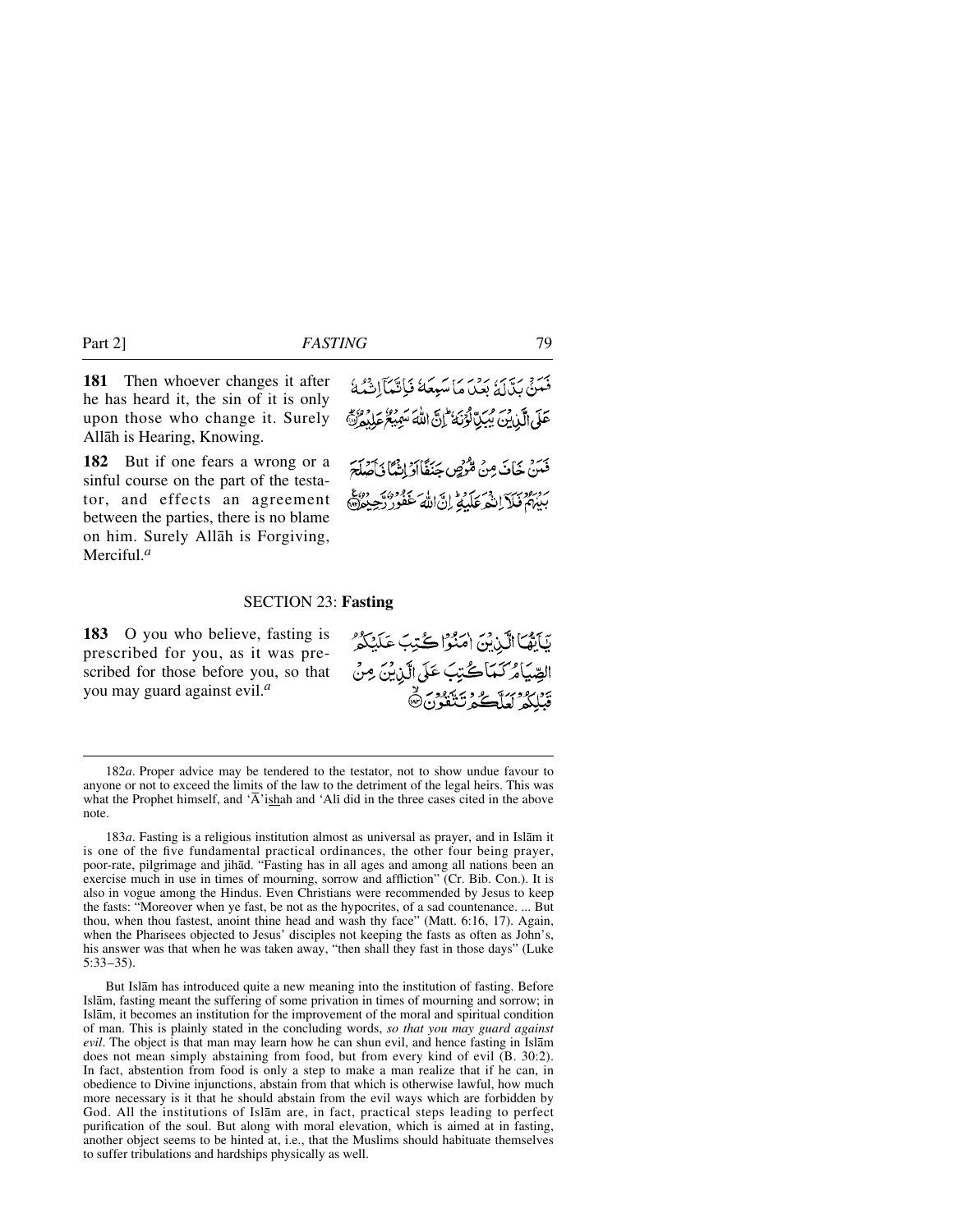**181** Then whoever changes it after he has heard it, the sin of it is only upon those who change it. Surely Allåh is Hearing, Knowing.

**182** But if one fears a wrong or a sinful course on the part of the testator, and effects an agreement between the parties, there is no blame on him. Surely Allåh is Forgiving, Merciful.*<sup>a</sup>*

بِرِ بِرِيسٍ بِرِينٍ بِهِ مَا سَبِعَةً فَبَانَيْهَآانَهُ لَهُ مَ عَلَى الَّذِينَ يُبِيِّبَالْوَنَهُ ۖ إِنَّ اللَّهَ سَمِيْعُ عَلَيْهِ لَهُ ۚ

فَيَنْ خَافَ مِنْ مُّرْضٍ جَنَفًاأَوْ إِنَّهُا فَأَصْلَحَ بروبرد درسر در برود در ایر ایر بروده به روع<br>بیبههٔ فیلا اِنتُعرعکیلهٔ اِناللهٔ عفور رّجِیعهه

#### SECTION 23: **Fasting**

**183** O you who believe, fasting is prescribed for you, as it was prescribed for those before you, so that you may guard against evil.*<sup>a</sup>*

بَأَيَّهَا الَّذِيْنَ امَنُوْا كُتِبَ عَلَيْكُمْ الصِّيَامُرَكَّمَاكُّتِبَ عَلَى الَّذِينَ مِنْ يزر دوسته و ويهدد.<br>قبلكه لعاك عدائقون

183*a*. Fasting is a religious institution almost as universal as prayer, and in Islåm it is one of the five fundamental practical ordinances, the other four being prayer, poor-rate, pilgrimage and jihåd. "Fasting has in all ages and among all nations been an exercise much in use in times of mourning, sorrow and affliction" (Cr. Bib. Con.). It is also in vogue among the Hindus. Even Christians were recommended by Jesus to keep the fasts: "Moreover when ye fast, be not as the hypocrites, of a sad countenance. ... But thou, when thou fastest, anoint thine head and wash thy face" (Matt. 6:16, 17). Again, when the Pharisees objected to Jesus' disciples not keeping the fasts as often as John's, his answer was that when he was taken away, "then shall they fast in those days" (Luke 5:33–35).

But Islåm has introduced quite a new meaning into the institution of fasting. Before Islåm, fasting meant the suffering of some privation in times of mourning and sorrow; in Islåm, it becomes an institution for the improvement of the moral and spiritual condition of man. This is plainly stated in the concluding words, *so that you may guard against evil*. The object is that man may learn how he can shun evil, and hence fasting in Islåm does not mean simply abstaining from food, but from every kind of evil (B. 30:2). In fact, abstention from food is only a step to make a man realize that if he can, in obedience to Divine injunctions, abstain from that which is otherwise lawful, how much more necessary is it that he should abstain from the evil ways which are forbidden by God. All the institutions of Islåm are, in fact, practical steps leading to perfect purification of the soul. But along with moral elevation, which is aimed at in fasting, another object seems to be hinted at, i.e., that the Muslims should habituate themselves to suffer tribulations and hardships physically as well.

<sup>182</sup>*a*. Proper advice may be tendered to the testator, not to show undue favour to anyone or not to exceed the limits of the law to the detriment of the legal heirs. This was what the Prophet himself, and ' $\overline{A}$ 'ishah and 'Ali did in the three cases cited in the above note.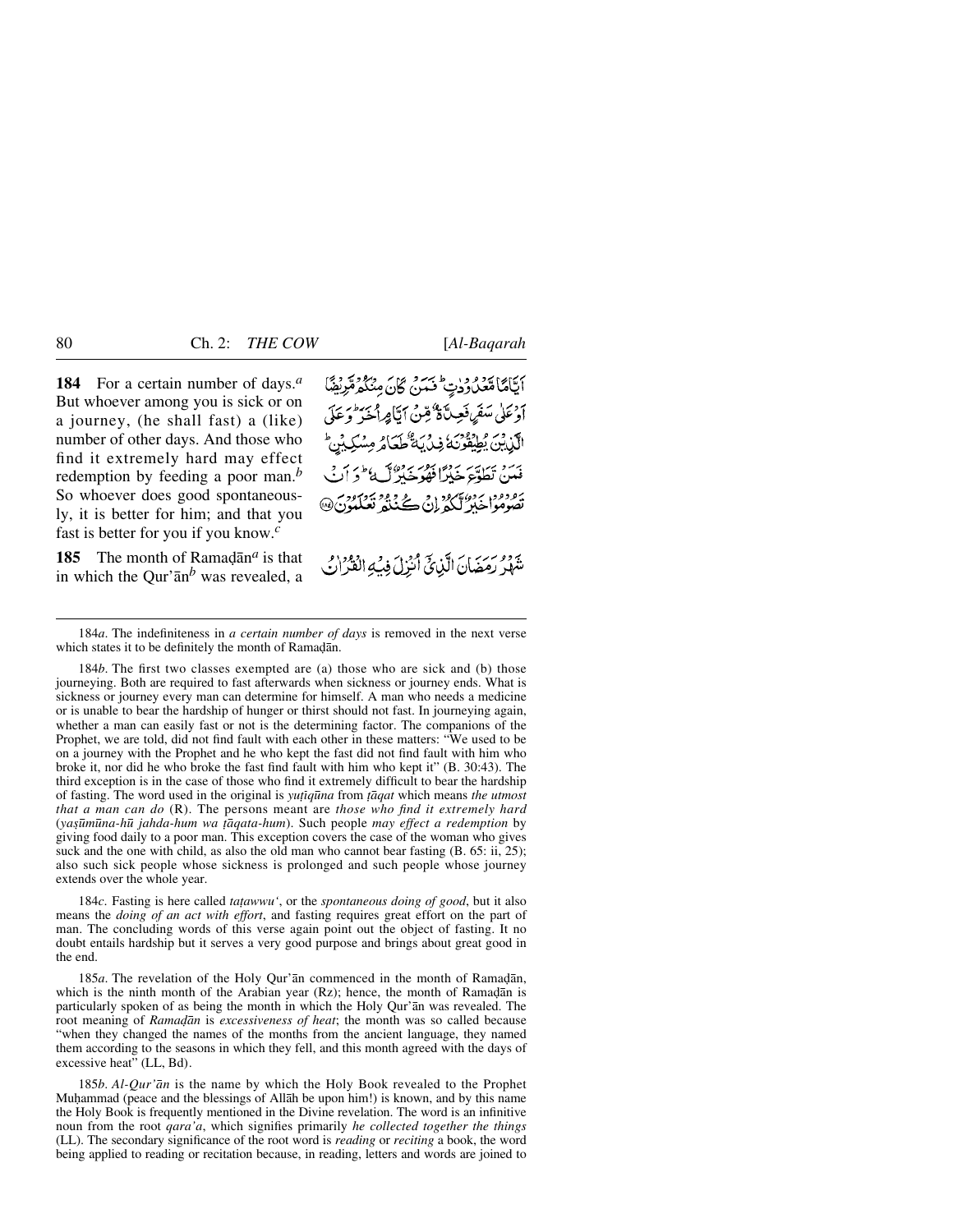**184** For a certain number of days.*<sup>a</sup>* But whoever among you is sick or on a journey, (he shall fast) a (like) number of other days. And those who find it extremely hard may effect redemption by feeding a poor man.*<sup>b</sup>* So whoever does good spontaneously, it is better for him; and that you fast is better for you if you know.*<sup>c</sup>*

**185** The month of Ramad $\bar{a}$  n<sup>a</sup> is that in which the Qur'ån*<sup>b</sup>* was revealed, a أَيَّامًا مُتَعَدُّدُودِتٍ فَسَنَّ كَانَ مِنْكُمْ مُّرْبِقِيًّا **أَوْعَلَى سَقَرِيقَ فَعِينَ ةٌ مِّنْ أَتَامِ** أَ م و دود برده کرد د د.<br>تصوموا خلا کیلئر ان

يَّ دِوْمِرْسٍ مِنْ الَّذِيِّ أُنْزِلَ فِيْهِ الْقُرَانُ

184*b*. The first two classes exempted are (a) those who are sick and (b) those journeying. Both are required to fast afterwards when sickness or journey ends. What is sickness or journey every man can determine for himself. A man who needs a medicine or is unable to bear the hardship of hunger or thirst should not fast. In journeying again, whether a man can easily fast or not is the determining factor. The companions of the Prophet, we are told, did not find fault with each other in these matters: "We used to be on a journey with the Prophet and he who kept the fast did not find fault with him who broke it, nor did he who broke the fast find fault with him who kept it" (B. 30:43). The third exception is in the case of those who find it extremely difficult to bear the hardship of fasting. The word used in the original is *yu∆ßq∂na* from *ƌqat* which means *the utmost that a man can do* (R). The persons meant are *those who find it extremely hard* (*ya©∂m∂na-h∂ jahda-hum wa ∆åqata-hum*). Such people *may effect a redemption* by giving food daily to a poor man. This exception covers the case of the woman who gives suck and the one with child, as also the old man who cannot bear fasting (B. 65: ii, 25); also such sick people whose sickness is prolonged and such people whose journey extends over the whole year.

184*c*. Fasting is here called *tațawwu'*, or the *spontaneous doing of good*, but it also means the *doing of an act with effort*, and fasting requires great effort on the part of man. The concluding words of this verse again point out the object of fasting. It no doubt entails hardship but it serves a very good purpose and brings about great good in the end.

185*a*. The revelation of the Holy Qur'an commenced in the month of Ramadan, which is the ninth month of the Arabian year  $(Rz)$ ; hence, the month of Ramadan is particularly spoken of as being the month in which the Holy Qur'ån was revealed. The root meaning of *Ramadan* is *excessiveness of heat*; the month was so called because "when they changed the names of the months from the ancient language, they named them according to the seasons in which they fell, and this month agreed with the days of excessive heat" (LL, Bd).

185*b*. *Al-Qur'ån* is the name by which the Holy Book revealed to the Prophet Muhammad (peace and the blessings of Allah be upon him!) is known, and by this name the Holy Book is frequently mentioned in the Divine revelation. The word is an infinitive noun from the root *qara'a*, which signifies primarily *he collected together the things* (LL). The secondary significance of the root word is *reading* or *reciting* a book, the word being applied to reading or recitation because, in reading, letters and words are joined to

<sup>184</sup>*a*. The indefiniteness in *a certain number of days* is removed in the next verse which states it to be definitely the month of Ramadan.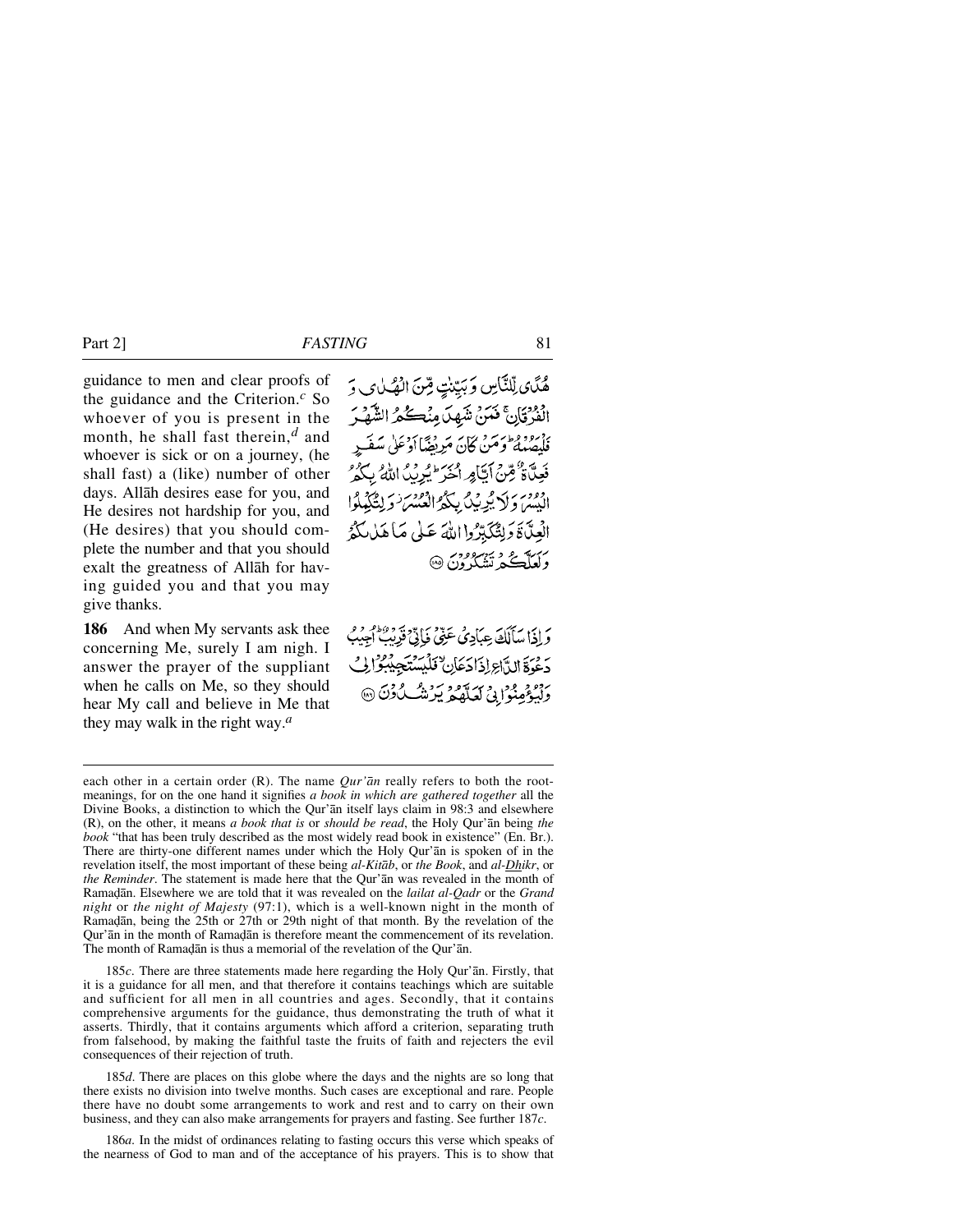guidance to men and clear proofs of the guidance and the Criterion.*<sup>c</sup>* So whoever of you is present in the month, he shall fast therein,*<sup>d</sup>* and whoever is sick or on a journey, (he shall fast) a (like) number of other days. Allåh desires ease for you, and He desires not hardship for you, and (He desires) that you should complete the number and that you should exalt the greatness of Allåh for having guided you and that you may give thanks.

**186** And when My servants ask thee concerning Me, surely I am nigh. I answer the prayer of the suppliant when he calls on Me, so they should hear My call and believe in Me that they may walk in the right way.*<sup>a</sup>*

هُكَّن لِّلنَّاسِ وَبَيِّنْتٍ مِّنَ الْهُلْمَى وَ الفَرْقَانَ فَمَنْ شَهِدَ مِنْكُمُ الشَّهْرَ .<br>فلصلهٔ وَمَنْ كَانَ مَرِيضًاأدِعَلِي سَفَيرِ فَعِلَّاةٌ فِمِنْ أَيَّامِرِ أَخْرَ ۖ يُدِيدُ اللَّهُ بِكُوْ انِهِيهِ، وَلَا يُونِيْكَ بِبَكِّرُ الْعُبْسَ وَلِتَكَهْلُوا الْعِدَّةَ دَلِتْكَبِّرُوا اللَّهَ عَلَى مَا هَلْكُمُّ دک کے نتیک ون @

وَ إِذَا مَبَأَلَكَ عِبَادِيُ عَنِيٌّ فَأَتَّىٰٓ قَدِيْثٌ أَجِيبُ دَعْوَةَ الدَّاعِ إِذَادَعَانِ فَلَيْسَتَجِيْبُوْ إِنِّ رود و و در دید و به دو.<br>ولیپوفینوایی کعلهگر پیریشگادن @

each other in a certain order (R). The name *Qur'ån* really refers to both the rootmeanings, for on the one hand it signifies *a book in which are gathered together* all the Divine Books, a distinction to which the Qur'ån itself lays claim in 98:3 and elsewhere (R), on the other, it means *a book that is* or *should be read*, the Holy Qur'ån being *the book* "that has been truly described as the most widely read book in existence" (En. Br.). There are thirty-one different names under which the Holy Qur'ån is spoken of in the revelation itself, the most important of these being *al-Kitåb*, or *the Book*, and *al-Dhikr*, or *the Reminder*. The statement is made here that the Qur'ån was revealed in the month of Rama˙ån. Elsewhere we are told that it was revealed on the *lailat al-Qadr* or the *Grand night* or *the night of Majesty* (97:1), which is a well-known night in the month of Ramadan, being the 25th or 27th or 29th night of that month. By the revelation of the Qur'an in the month of Ramadan is therefore meant the commencement of its revelation. The month of Ramadan is thus a memorial of the revelation of the Qur'an.

185*c*. There are three statements made here regarding the Holy Qur'ån. Firstly, that it is a guidance for all men, and that therefore it contains teachings which are suitable and sufficient for all men in all countries and ages. Secondly, that it contains comprehensive arguments for the guidance, thus demonstrating the truth of what it asserts. Thirdly, that it contains arguments which afford a criterion, separating truth from falsehood, by making the faithful taste the fruits of faith and rejecters the evil consequences of their rejection of truth.

185*d*. There are places on this globe where the days and the nights are so long that there exists no division into twelve months. Such cases are exceptional and rare. People there have no doubt some arrangements to work and rest and to carry on their own business, and they can also make arrangements for prayers and fasting. See further 187*c*.

186*a*. In the midst of ordinances relating to fasting occurs this verse which speaks of the nearness of God to man and of the acceptance of his prayers. This is to show that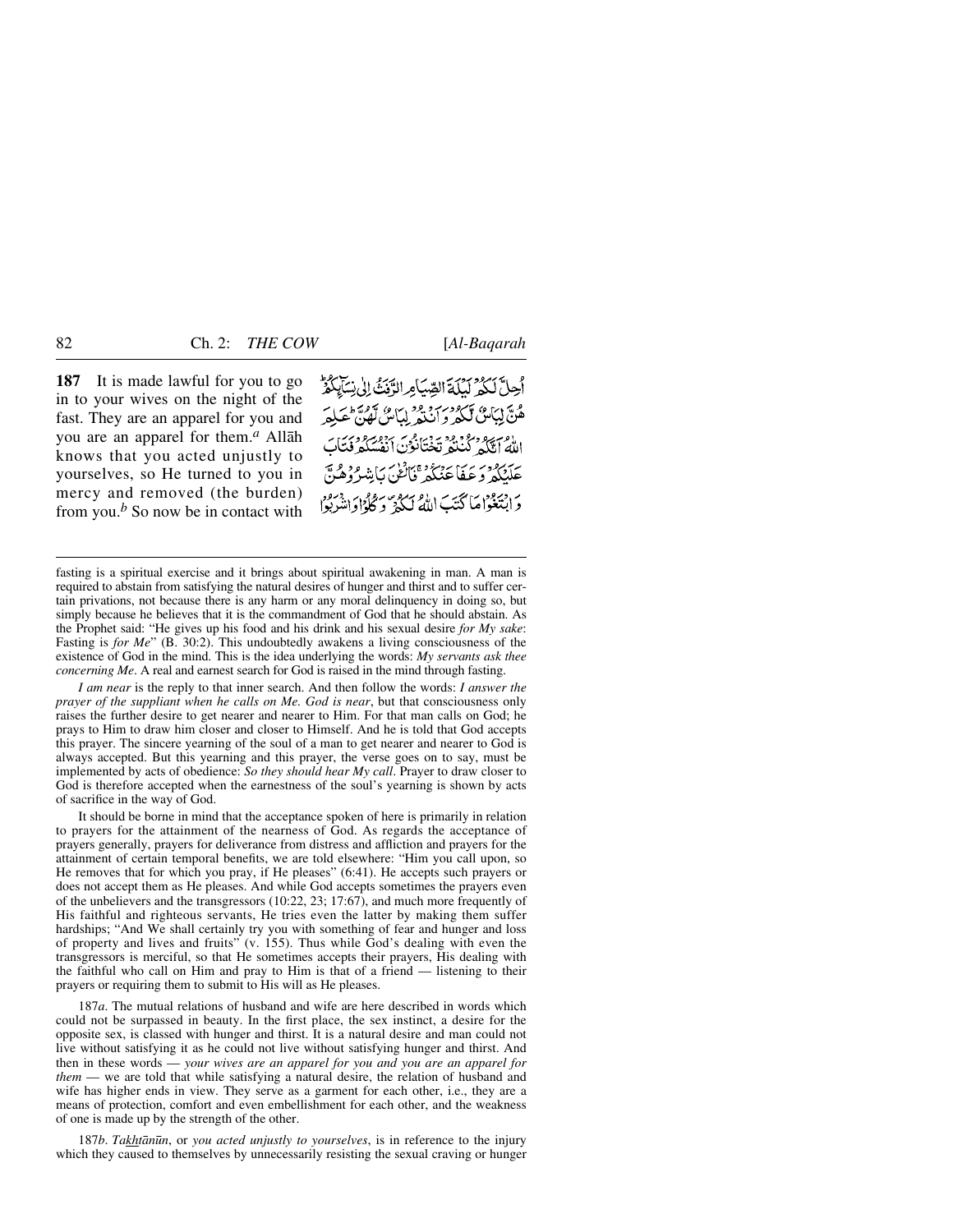**187** It is made lawful for you to go in to your wives on the night of the fast. They are an apparel for you and you are an apparel for them.*<sup>a</sup>* Allåh knows that you acted unjustly to yourselves, so He turned to you in mercy and removed (the burden) from you.*<sup>b</sup>* So now be in contact with أَحِلَّ لَكُمْ لَيِلَةَ الصِّيَامِ الرَّبُّ إِلَىٰ نِسَابِكُمْ ه به اینگ تکرد در بود<br>هن لیکن تک و ان به اینگ تهران الع سرور محتوم ويحدث من من محتاج .<br>الله إمثله لينكو تختانون أنفسكو فتأب حَلَّنْكُمْ وَعَبَفَا عَنْنَكُمْ فَالْنَكْنَ بِاشْرُوهُنَّ دَ ابْيَعْوَاهَا كَتَبَ اللَّهُ لَكُهُ وَكُلُّوا وَانْتَبَدَبُوْا

fasting is a spiritual exercise and it brings about spiritual awakening in man. A man is required to abstain from satisfying the natural desires of hunger and thirst and to suffer certain privations, not because there is any harm or any moral delinquency in doing so, but simply because he believes that it is the commandment of God that he should abstain. As the Prophet said: "He gives up his food and his drink and his sexual desire *for My sake*: Fasting is *for Me*" (B. 30:2). This undoubtedly awakens a living consciousness of the existence of God in the mind. This is the idea underlying the words: *My servants ask thee concerning Me*. A real and earnest search for God is raised in the mind through fasting.

*I am near* is the reply to that inner search. And then follow the words: *I answer the prayer of the suppliant when he calls on Me. God is near*, but that consciousness only raises the further desire to get nearer and nearer to Him. For that man calls on God; he prays to Him to draw him closer and closer to Himself. And he is told that God accepts this prayer. The sincere yearning of the soul of a man to get nearer and nearer to God is always accepted. But this yearning and this prayer, the verse goes on to say, must be implemented by acts of obedience: *So they should hear My call*. Prayer to draw closer to God is therefore accepted when the earnestness of the soul's yearning is shown by acts of sacrifice in the way of God.

It should be borne in mind that the acceptance spoken of here is primarily in relation to prayers for the attainment of the nearness of God. As regards the acceptance of prayers generally, prayers for deliverance from distress and affliction and prayers for the attainment of certain temporal benefits, we are told elsewhere: "Him you call upon, so He removes that for which you pray, if He pleases" (6:41). He accepts such prayers or does not accept them as He pleases. And while God accepts sometimes the prayers even of the unbelievers and the transgressors (10:22, 23; 17:67), and much more frequently of His faithful and righteous servants, He tries even the latter by making them suffer hardships; "And We shall certainly try you with something of fear and hunger and loss of property and lives and fruits" (v. 155). Thus while God's dealing with even the transgressors is merciful, so that He sometimes accepts their prayers, His dealing with the faithful who call on Him and pray to Him is that of a friend — listening to their prayers or requiring them to submit to His will as He pleases.

187*a*. The mutual relations of husband and wife are here described in words which could not be surpassed in beauty. In the first place, the sex instinct, a desire for the opposite sex, is classed with hunger and thirst. It is a natural desire and man could not live without satisfying it as he could not live without satisfying hunger and thirst. And then in these words — *your wives are an apparel for you and you are an apparel for them* — we are told that while satisfying a natural desire, the relation of husband and wife has higher ends in view. They serve as a garment for each other, i.e., they are a means of protection, comfort and even embellishment for each other, and the weakness of one is made up by the strength of the other.

187*b*. *Takhtån∂n*, or *you acted unjustly to yourselves*, is in reference to the injury which they caused to themselves by unnecessarily resisting the sexual craving or hunger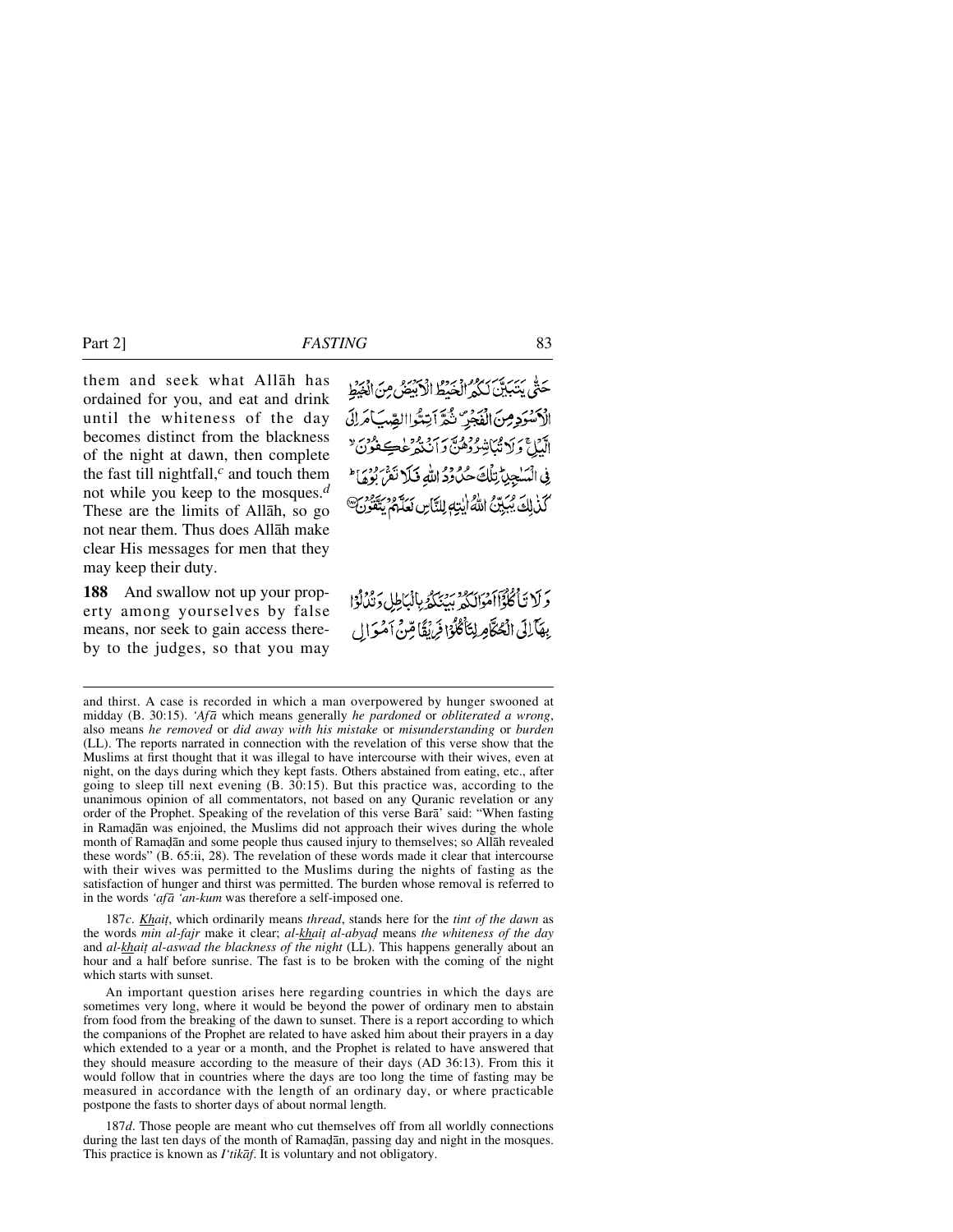them and seek what Allåh has ordained for you, and eat and drink until the whiteness of the day becomes distinct from the blackness of the night at dawn, then complete the fast till nightfall,*<sup>c</sup>* and touch them not while you keep to the mosques.*<sup>d</sup>* These are the limits of Allåh, so go not near them. Thus does Allåh make clear His messages for men that they may keep their duty.

**188** And swallow not up your property among yourselves by false means, nor seek to gain access thereby to the judges, so that you may

حَتَّى يَتَبَيَّنَ لَكُمُّ الْخَيْطُ الْأَبَيَّصُ مِنَ الْخَيْطِ الأسود مِن الْمُجْرِّ تُمَّ اَتِمُّواالصِّبَ اَمَرانَى الَّيْلِ ۚ وَلَا تُبَاتِبُوْدُهُنَّ وَأَنْنَهُ عَٰجَةٍ غُمِيَةٍ مِنَ ۚ فِي الْمَسْجِينِّ تِلْكَ حُلُودُ اللهِ فَلَا تَقْرُبُورُ وَمَاءَ كَذٰلِكَ يُبَيِّنُ اللَّهُ إيْتِهِ لِلنَّاسِ لَعَلَّمَ يَتَّقَوْ

وَلَا تَأْكُلُوْۤاأَهُوَانَكُمْ بِبِنِيَكُمُ بِالْبَاطِلِ دَيْدُلُوۡا بِهَآلِكَ الْحُكَّامِ لِتَأْكُلُوْا فَرَبَقًا قِنْ آمُوَال

and thirst. A case is recorded in which a man overpowered by hunger swooned at midday (B. 30:15). *'Afå* which means generally *he pardoned* or *obliterated a wrong*, also means *he removed* or *did away with his mistake* or *misunderstanding* or *burden* (LL). The reports narrated in connection with the revelation of this verse show that the Muslims at first thought that it was illegal to have intercourse with their wives, even at night, on the days during which they kept fasts. Others abstained from eating, etc., after going to sleep till next evening (B. 30:15). But this practice was, according to the unanimous opinion of all commentators, not based on any Quranic revelation or any order of the Prophet. Speaking of the revelation of this verse Barå' said: "When fasting in Ramadan was enjoined, the Muslims did not approach their wives during the whole month of Ramadan and some people thus caused injury to themselves; so Allah revealed these words" (B. 65:ii, 28). The revelation of these words made it clear that intercourse with their wives was permitted to the Muslims during the nights of fasting as the satisfaction of hunger and thirst was permitted. The burden whose removal is referred to in the words *'afå 'an-kum* was therefore a self-imposed one.

187*c*. *Khai∆*, which ordinarily means *thread*, stands here for the *tint of the dawn* as the words *min al-fajr* make it clear; *al-khait al-abyad* means *the whiteness of the day* and *al-khait al-aswad the blackness of the night* (LL). This happens generally about an hour and a half before sunrise. The fast is to be broken with the coming of the night which starts with sunset.

An important question arises here regarding countries in which the days are sometimes very long, where it would be beyond the power of ordinary men to abstain from food from the breaking of the dawn to sunset. There is a report according to which the companions of the Prophet are related to have asked him about their prayers in a day which extended to a year or a month, and the Prophet is related to have answered that they should measure according to the measure of their days (AD 36:13). From this it would follow that in countries where the days are too long the time of fasting may be measured in accordance with the length of an ordinary day, or where practicable postpone the fasts to shorter days of about normal length.

187*d*. Those people are meant who cut themselves off from all worldly connections during the last ten days of the month of Ramadan, passing day and night in the mosques. This practice is known as *I'tikåf*. It is voluntary and not obligatory.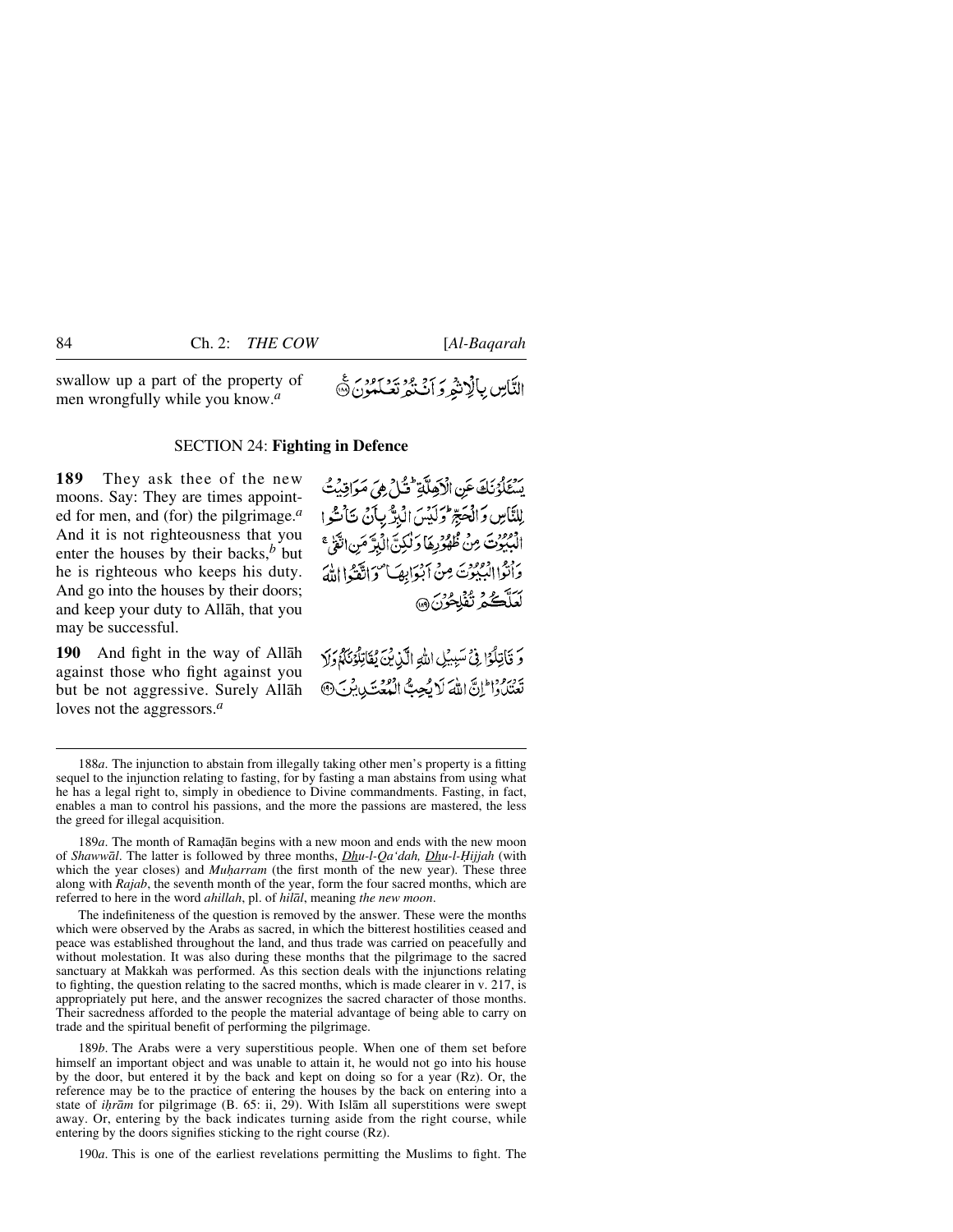swallow up a part of the property of men wrongfully while you know.*<sup>a</sup>*

# التَّاسِ بِالْاِنْثِرِ وَ اَنْتَثَرُ تَعْلَمُوْنَ ١٥

## SECTION 24: **Fighting in Defence**

**189** They ask thee of the new moons. Say: They are times appointed for men, and (for) the pilgrimage.*<sup>a</sup>* And it is not righteousness that you enter the houses by their backs,*<sup>b</sup>* but he is righteous who keeps his duty. And go into the houses by their doors; and keep your duty to Allåh, that you may be successful.

**190** And fight in the way of Allåh against those who fight against you but be not aggressive. Surely Allåh loves not the aggressors.*<sup>a</sup>*

يَسْتَلْوُنَكَ عَنِ الْأَهَلَّةِ فَتُلْ هِيَ مَوَاقِيَتُ لِلنَّاسِ وَالْحَجِّ وَلَيْسَ الْبِرَّ بِأَنْ تَأْسُّوا الْبُبُونَ مِنْ ظُهْرُرِهَا وَلْكِنَّ الْبِرَّ مَنِ اتَّقَىٰ \* وَأَنْزَا الْبَيْنِوْتَ مِنْ آبْدَابِهَا مُوَاقَّعْهُ اللَّهَ سَنَّكُمُ تُفْلِحُرُنَ ۞

وَ قَاتِلُوًّا فِي سَبِيلِ اللهِ الَّذِينَ يُقَاتِلُونَ لَمَ وَلَا تَعْتَلُوا إِنَّ اللَّهَ لَا يُجِبُّ الْمُعَتَدِينِينَ @

189*a*. The month of Ramadan begins with a new moon and ends with the new moon of *Shawwāl*. The latter is followed by three months, *Dhu-l-Qa'dah*, *Dhu-l-Hijjah* (with which the year closes) and *Muharram* (the first month of the new year). These three along with *Rajab*, the seventh month of the year, form the four sacred months, which are referred to here in the word *ahillah*, pl. of *hilål*, meaning *the new moon*.

The indefiniteness of the question is removed by the answer. These were the months which were observed by the Arabs as sacred, in which the bitterest hostilities ceased and peace was established throughout the land, and thus trade was carried on peacefully and without molestation. It was also during these months that the pilgrimage to the sacred sanctuary at Makkah was performed. As this section deals with the injunctions relating to fighting, the question relating to the sacred months, which is made clearer in v. 217, is appropriately put here, and the answer recognizes the sacred character of those months. Their sacredness afforded to the people the material advantage of being able to carry on trade and the spiritual benefit of performing the pilgrimage.

189*b*. The Arabs were a very superstitious people. When one of them set before himself an important object and was unable to attain it, he would not go into his house by the door, but entered it by the back and kept on doing so for a year (Rz). Or, the reference may be to the practice of entering the houses by the back on entering into a state of *ihrām* for pilgrimage (B. 65: ii, 29). With Islām all superstitions were swept away. Or, entering by the back indicates turning aside from the right course, while entering by the doors signifies sticking to the right course (Rz).

190*a*. This is one of the earliest revelations permitting the Muslims to fight. The

<sup>188</sup>*a*. The injunction to abstain from illegally taking other men's property is a fitting sequel to the injunction relating to fasting, for by fasting a man abstains from using what he has a legal right to, simply in obedience to Divine commandments. Fasting, in fact, enables a man to control his passions, and the more the passions are mastered, the less the greed for illegal acquisition.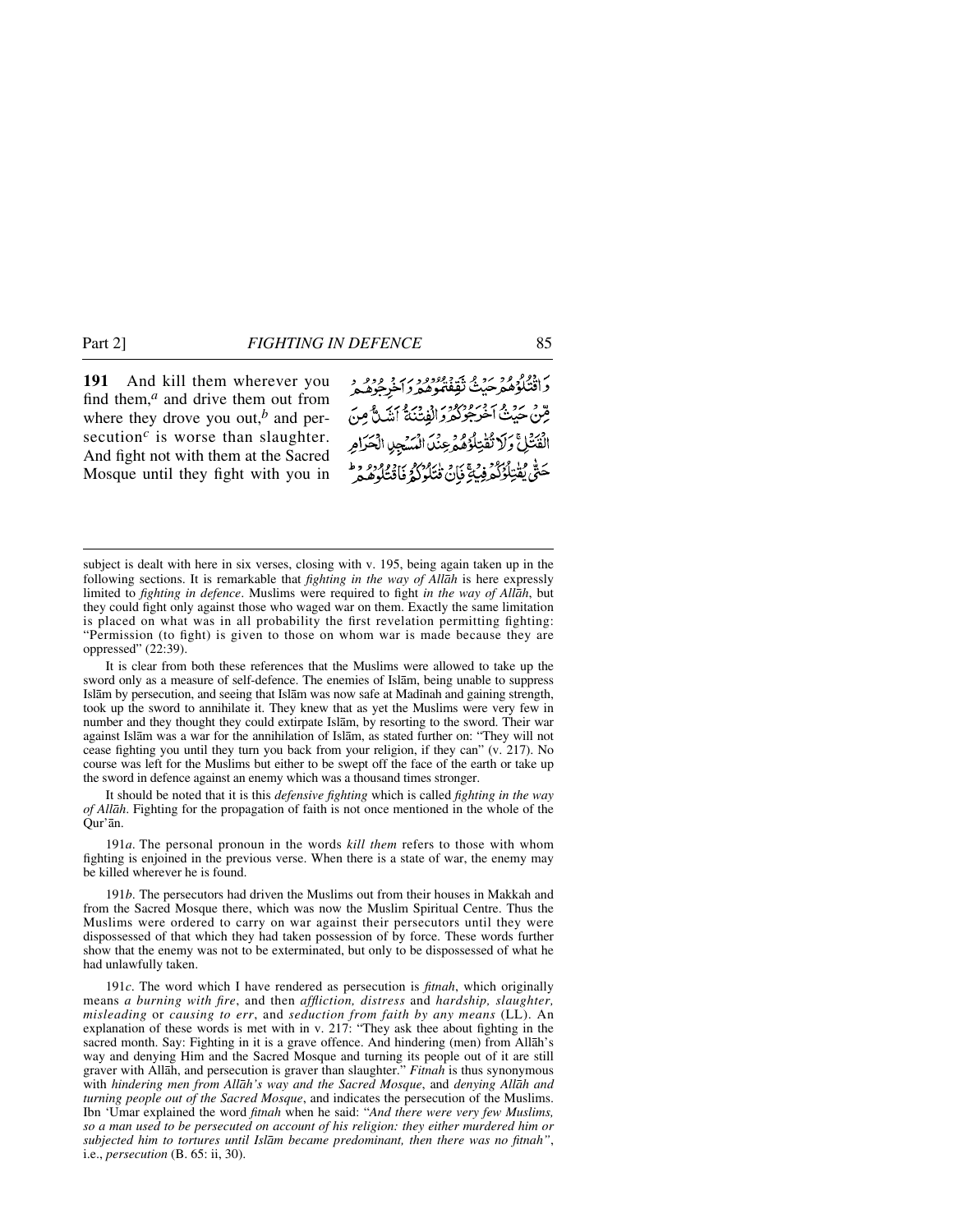**191** And kill them wherever you find them,*<sup>a</sup>* and drive them out from where they drove you out, $<sup>b</sup>$  and per-</sup> secution<sup>c</sup> is worse than slaughter. And fight not with them at the Sacred Mosque until they fight with you in

ر دوم ود دي.<br>واقتلوهمرحيثُ تُقِفْتُموهمرواخرِجُوهُمْرُ قِنْ حَيْثُ آخْرَ جُوْكُوْرَ إِنْفِتْنَةُ أَنِّكَ ثَّ مِنَ الْفَتُلِّ وَلَا تُقْتِلُوْهُ وَعِنْدَا الْمَسْجِدِ الْحَرَامِ حَقٌّ يُقْتِلُوْكُمْ فِي 4َيَانَ قْتَلُوْكُمْ فَاقْتَلُوهُمْ .<br>حَتَّى يُقْتِلُوْكُمْ فِي 4َيْانُ قْتَلُوكُمْ فَاقْتَلُوهُ

It is clear from both these references that the Muslims were allowed to take up the sword only as a measure of self-defence. The enemies of Islåm, being unable to suppress Islām by persecution, and seeing that Islām was now safe at Madinah and gaining strength, took up the sword to annihilate it. They knew that as yet the Muslims were very few in number and they thought they could extirpate Islåm, by resorting to the sword. Their war against Islåm was a war for the annihilation of Islåm, as stated further on: "They will not cease fighting you until they turn you back from your religion, if they can" (v. 217). No course was left for the Muslims but either to be swept off the face of the earth or take up the sword in defence against an enemy which was a thousand times stronger.

It should be noted that it is this *defensive fighting* which is called *fighting in the way of Allåh*. Fighting for the propagation of faith is not once mentioned in the whole of the Qur'ån.

191*a*. The personal pronoun in the words *kill them* refers to those with whom fighting is enjoined in the previous verse. When there is a state of war, the enemy may be killed wherever he is found.

191*b*. The persecutors had driven the Muslims out from their houses in Makkah and from the Sacred Mosque there, which was now the Muslim Spiritual Centre. Thus the Muslims were ordered to carry on war against their persecutors until they were dispossessed of that which they had taken possession of by force. These words further show that the enemy was not to be exterminated, but only to be dispossessed of what he had unlawfully taken.

191*c*. The word which I have rendered as persecution is *fitnah*, which originally means *a burning with fire*, and then *affliction, distress* and *hardship, slaughter, misleading* or *causing to err*, and *seduction from faith by any means* (LL). An explanation of these words is met with in v. 217: "They ask thee about fighting in the sacred month. Say: Fighting in it is a grave offence. And hindering (men) from Allåh's way and denying Him and the Sacred Mosque and turning its people out of it are still graver with Allåh, and persecution is graver than slaughter." *Fitnah* is thus synonymous with *hindering men from Allåh's way and the Sacred Mosque*, and *denying Allåh and turning people out of the Sacred Mosque*, and indicates the persecution of the Muslims. Ibn 'Umar explained the word *fitnah* when he said: "*And there were very few Muslims, so a man used to be persecuted on account of his religion: they either murdered him or subjected him to tortures until Islåm became predominant, then there was no fitnah"*, i.e., *persecution* (B. 65: ii, 30).

subject is dealt with here in six verses, closing with v. 195, being again taken up in the following sections. It is remarkable that *fighting in the way of Allåh* is here expressly limited to *fighting in defence*. Muslims were required to fight *in the way of Allåh*, but they could fight only against those who waged war on them. Exactly the same limitation is placed on what was in all probability the first revelation permitting fighting: "Permission (to fight) is given to those on whom war is made because they are oppressed" (22:39).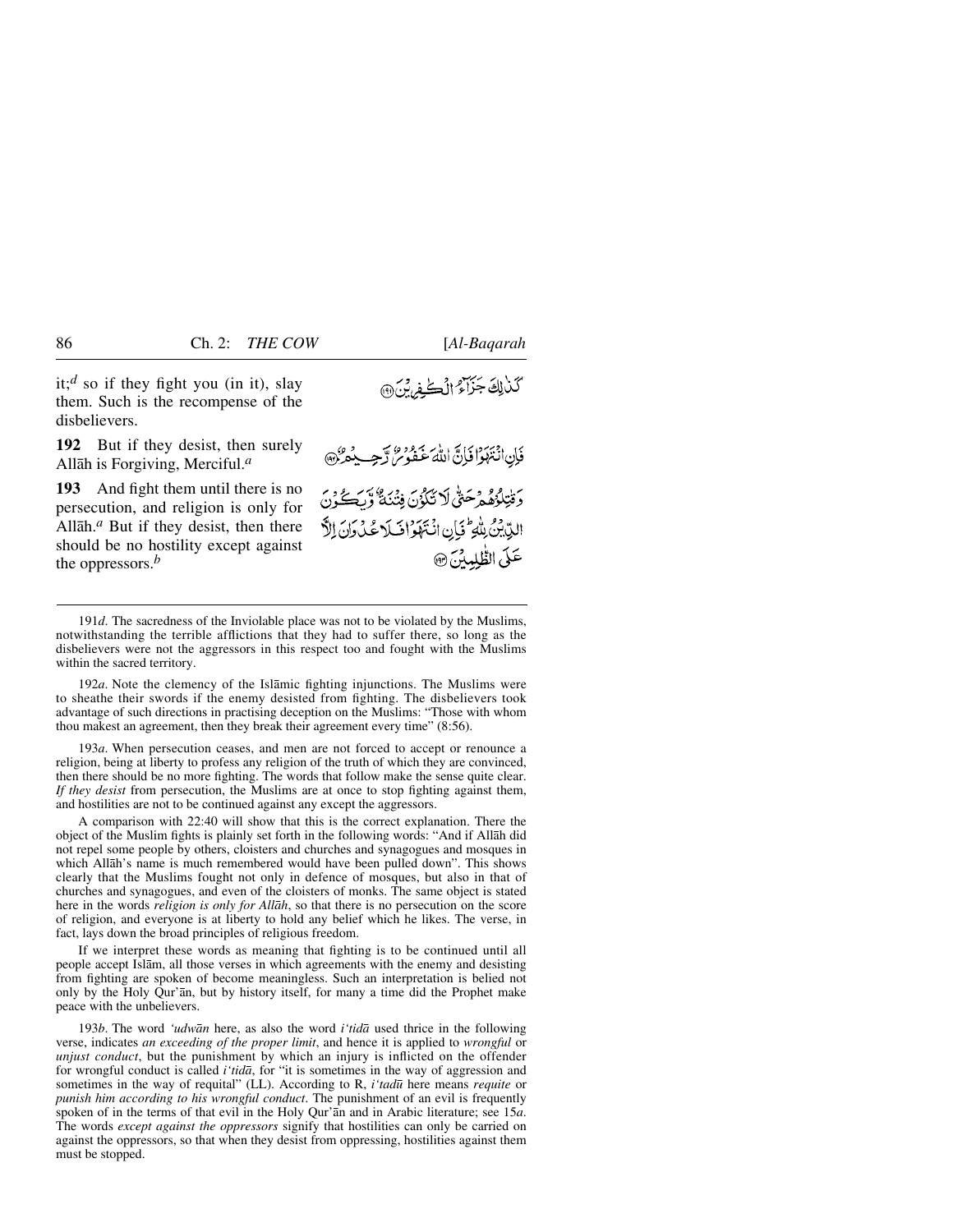it;*<sup>d</sup>* so if they fight you (in it), slay them. Such is the recompense of the disbelievers.

**192** But if they desist, then surely Allåh is Forgiving, Merciful.*<sup>a</sup>*

**193** And fight them until there is no persecution, and religion is only for Allåh.*<sup>a</sup>* But if they desist, then there should be no hostility except against the oppressors.*<sup>b</sup>*

كَذَٰلِكَ جَزَاءُ الْكُفِرِينَ ۞

مسكوفيهم فَإِنِ انْتَهَوْا فَإِنَّ اللَّهَ عَفُوسٌ لَّهُ دَ فَتِلْؤُهُمْ مَصَنٌّ لَا تَكَدُّنَ فِنْهُ بَيْنَ وَلَكَ يُحِيدُ الدِّيْنُ بِلْهِ تَجَانِ انْتَهَوَ اخْبَلَا عُدْ دَانَ الدَّ عَلَى الظَّلِمِينَ @

192*a*. Note the clemency of the Islåmic fighting injunctions. The Muslims were to sheathe their swords if the enemy desisted from fighting. The disbelievers took advantage of such directions in practising deception on the Muslims: "Those with whom thou makest an agreement, then they break their agreement every time" (8:56).

193*a*. When persecution ceases, and men are not forced to accept or renounce a religion, being at liberty to profess any religion of the truth of which they are convinced, then there should be no more fighting. The words that follow make the sense quite clear. *If they desist* from persecution, the Muslims are at once to stop fighting against them, and hostilities are not to be continued against any except the aggressors.

A comparison with 22:40 will show that this is the correct explanation. There the object of the Muslim fights is plainly set forth in the following words: "And if Allåh did not repel some people by others, cloisters and churches and synagogues and mosques in which Allåh's name is much remembered would have been pulled down". This shows clearly that the Muslims fought not only in defence of mosques, but also in that of churches and synagogues, and even of the cloisters of monks. The same object is stated here in the words *religion is only for Allåh*, so that there is no persecution on the score of religion, and everyone is at liberty to hold any belief which he likes. The verse, in fact, lays down the broad principles of religious freedom.

If we interpret these words as meaning that fighting is to be continued until all people accept Islåm, all those verses in which agreements with the enemy and desisting from fighting are spoken of become meaningless. Such an interpretation is belied not only by the Holy Qur'ån, but by history itself, for many a time did the Prophet make peace with the unbelievers.

193*b*. The word *'udwån* here, as also the word *i'tidå* used thrice in the following verse, indicates *an exceeding of the proper limit*, and hence it is applied to *wrongful* or *unjust conduct*, but the punishment by which an injury is inflicted on the offender for wrongful conduct is called *i'tidå*, for "it is sometimes in the way of aggression and sometimes in the way of requital" (LL). According to R, *i'tad∂* here means *requite* or *punish him according to his wrongful conduct*. The punishment of an evil is frequently spoken of in the terms of that evil in the Holy Qur'ån and in Arabic literature; see 15*a*. The words *except against the oppressors* signify that hostilities can only be carried on against the oppressors, so that when they desist from oppressing, hostilities against them must be stopped.

<sup>191</sup>*d*. The sacredness of the Inviolable place was not to be violated by the Muslims, notwithstanding the terrible afflictions that they had to suffer there, so long as the disbelievers were not the aggressors in this respect too and fought with the Muslims within the sacred territory.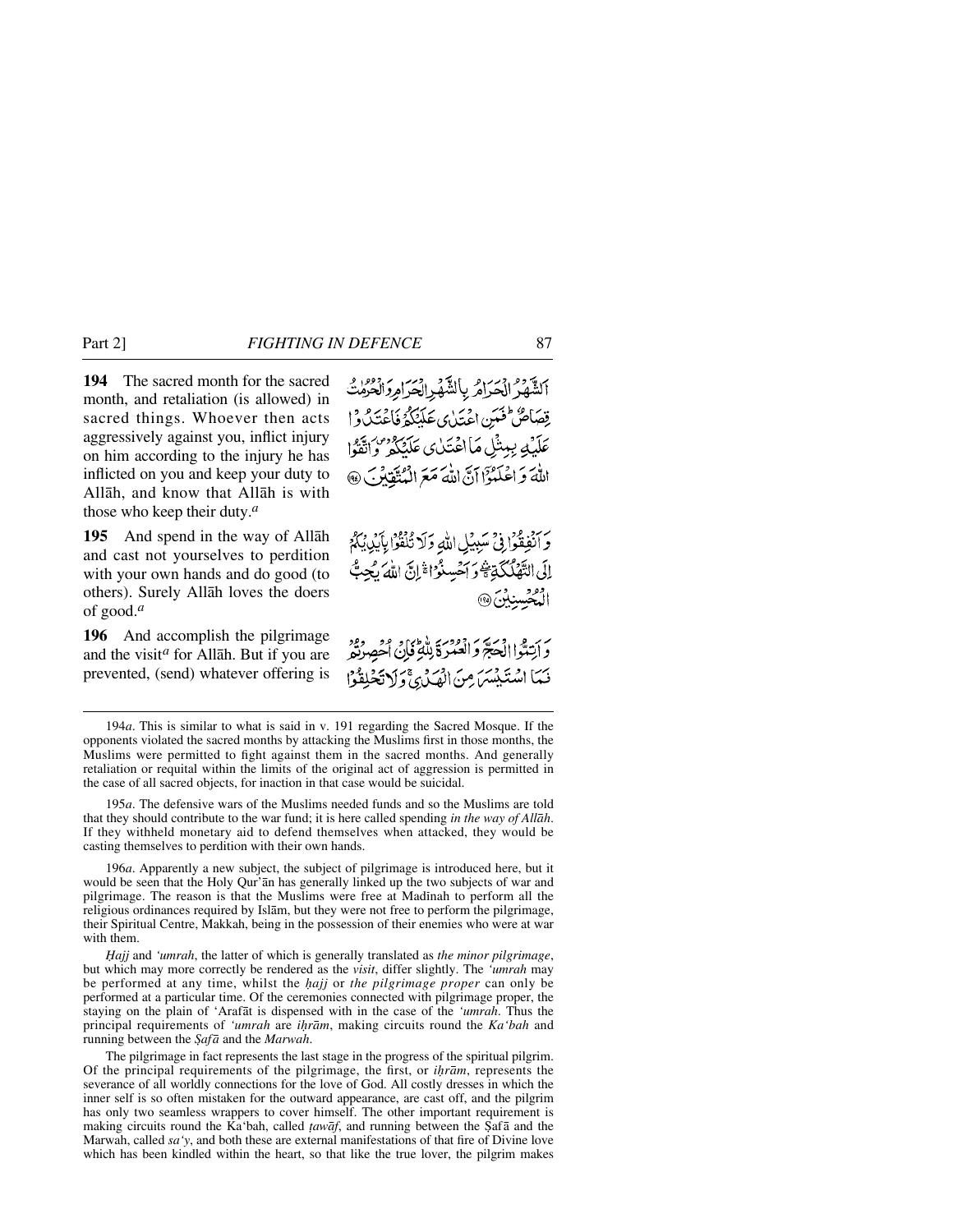**194** The sacred month for the sacred month, and retaliation (is allowed) in sacred things. Whoever then acts aggressively against you, inflict injury on him according to the injury he has inflicted on you and keep your duty to Allåh, and know that Allåh is with those who keep their duty.*<sup>a</sup>*

**195** And spend in the way of Allåh and cast not yourselves to perdition with your own hands and do good (to others). Surely Allåh loves the doers of good.*<sup>a</sup>*

**196** And accomplish the pilgrimage and the visit*<sup>a</sup>* for Allåh. But if you are prevented, (send) whatever offering is الشهر الحرائر بالشهر الحرامر أولاث قِصَاصٌ فَعَبَنِ اعْتَدٰى عَلَيْكُمُ فَاعْتَدُكُواْ عَلَيْهِ بِبِيشْلِ مَااعْتَدٰى عَلَيْكُمْ وَاتَّقُوا اللَّهَ وَ اعْلَمُوْٓا أَنَّ اللَّهَ مَعَ الْمُتَّقَانُو ۖ. ۞

وَ أَنْفِقُواْ فِي سَبِيْلِ اللَّهِ وَلَا تُلْقُوْا بِآَيْدِيْكُمْ إِلَى التَّهْلُكَيْةِ وَأَحْسِنُوْا ثَرِنَّ اللهُ يُجِبُّ المُحْسِنِينَ@

بِرَبَةٍ الصَبِّرَ وَانْصُرَةَ بِلَّهُمْ نَاجُ أَحْصِرْتُهِ ۖ فَمَا اسْتَبْشَرَ مِنَ الْهَدْئِ وَلَاتَحْلِقُوْا

196*a*. Apparently a new subject, the subject of pilgrimage is introduced here, but it would be seen that the Holy Qur'ån has generally linked up the two subjects of war and pilgrimage. The reason is that the Muslims were free at Madßnah to perform all the religious ordinances required by Islåm, but they were not free to perform the pilgrimage, their Spiritual Centre, Makkah, being in the possession of their enemies who were at war with them.

*Ïajj* and *'umrah*, the latter of which is generally translated as *the minor pilgrimage*, but which may more correctly be rendered as the *visit*, differ slightly. The *'umrah* may be performed at any time, whilst the *√ajj* or *the pilgrimage proper* can only be performed at a particular time. Of the ceremonies connected with pilgrimage proper, the staying on the plain of 'Arafåt is dispensed with in the case of the *'umrah*. Thus the principal requirements of *'umrah* are *i√råm*, making circuits round the *Ka'bah* and running between the *Şafā* and the *Marwah*.

The pilgrimage in fact represents the last stage in the progress of the spiritual pilgrim. Of the principal requirements of the pilgrimage, the first, or *i√råm*, represents the severance of all worldly connections for the love of God. All costly dresses in which the inner self is so often mistaken for the outward appearance, are cast off, and the pilgrim has only two seamless wrappers to cover himself. The other important requirement is making circuits round the Ka'bah, called *tawāf*, and running between the Şafā and the Marwah, called *sa'y*, and both these are external manifestations of that fire of Divine love which has been kindled within the heart, so that like the true lover, the pilgrim makes

<sup>194</sup>*a*. This is similar to what is said in v. 191 regarding the Sacred Mosque. If the opponents violated the sacred months by attacking the Muslims first in those months, the Muslims were permitted to fight against them in the sacred months. And generally retaliation or requital within the limits of the original act of aggression is permitted in the case of all sacred objects, for inaction in that case would be suicidal.

<sup>195</sup>*a*. The defensive wars of the Muslims needed funds and so the Muslims are told that they should contribute to the war fund; it is here called spending *in the way of Allåh*. If they withheld monetary aid to defend themselves when attacked, they would be casting themselves to perdition with their own hands.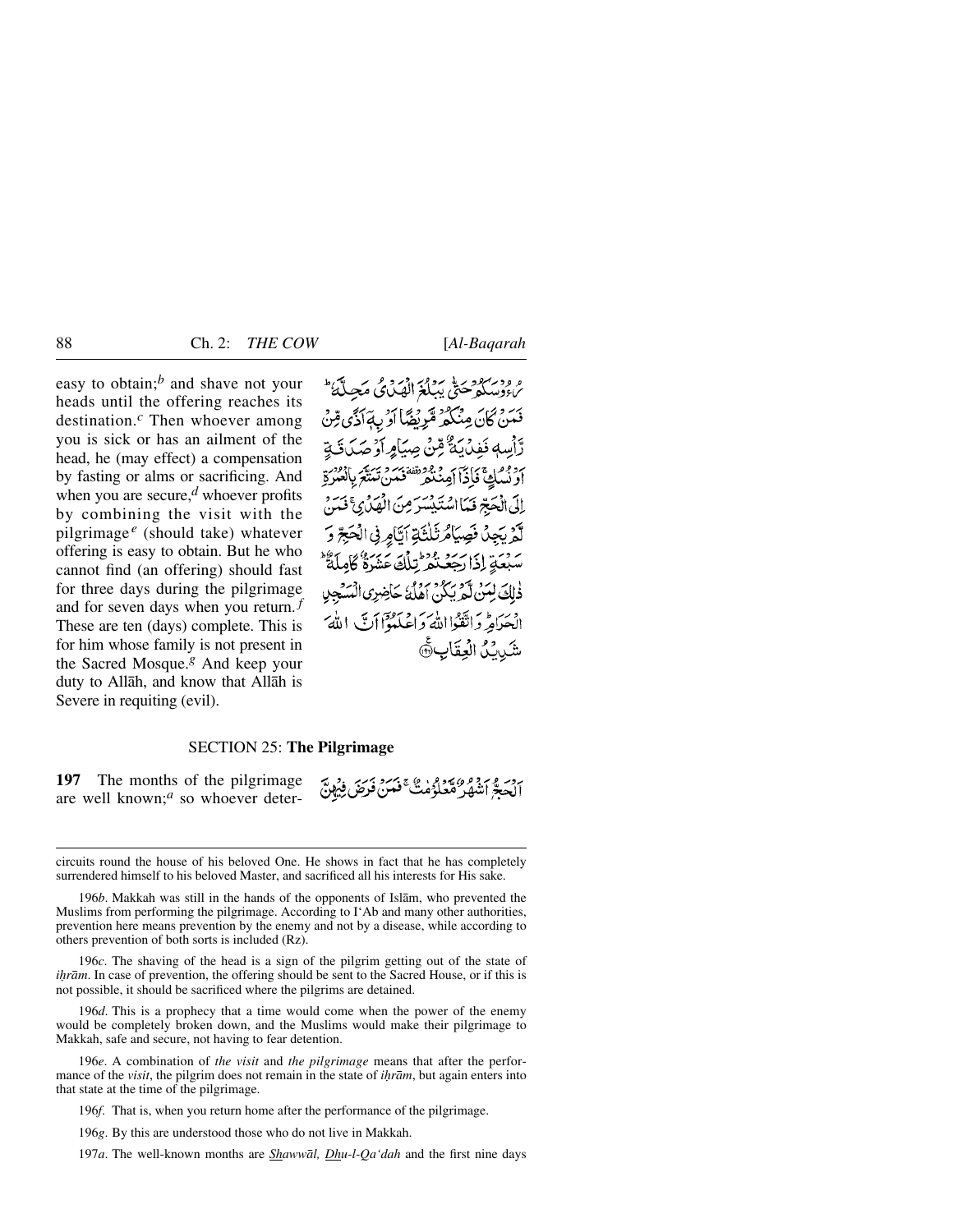easy to obtain;*<sup>b</sup>* and shave not your heads until the offering reaches its destination.*<sup>c</sup>* Then whoever among you is sick or has an ailment of the head, he (may effect) a compensation by fasting or alms or sacrificing. And when you are secure,*<sup>d</sup>* whoever profits by combining the visit with the pilgrimage *<sup>e</sup>* (should take) whatever offering is easy to obtain. But he who cannot find (an offering) should fast for three days during the pilgrimage and for seven days when you return. *<sup>f</sup>* These are ten (days) complete. This is for him whose family is not present in the Sacred Mosque.*<sup>g</sup>* And keep your duty to Allåh, and know that Allåh is Severe in requiting (evil).

ه ودیبرو په پرور در ده کرد تکی طرف داد.<br>پروسکو ځتي پېلغ الهیدي مجینۍ بَرَ وَ كَانَ مِنْكُمْ مَّرْيِضًا أَدْبِ بَٱ أَدَّى مِّنْ رَّأْسِهٖ نَفِدُيَّةٌ مِّنْ صِيَامِ أَوۡ صَدَقَۃٍ أَدْ بْمُلْكَ فَأَذْآ أَمِنْنَهُمْ تَقْتُصُرْهُ يَسَتَعَ بِالْعُبْرَةِ إِلَى الْحَبِّرْ فَيَمَا اسْتَيْشِيَبِرَ مِنَ الْهَدْبِيَّ فَيَ لَّهُ يَجِلُ فَصِيَامٌ ثَلْثَةِ أَتَّامِرِ فِي الْحَجِّ وَ - وَيَدْ إِذَا رَجَعُ نُفْرٌ تِبْلُكَ عَشَرَةٌ كَامِلَةٌ \* ذٰلِكَ لِمَنْ لَّمْ يَكُنُّ أَهْلُهُ حَاضِرِي الْمَسْجِدِ الْحَدَامِ وَاتَّقَوْااللَّهُ وَاعْلَمُوْٓاأَتَّ اللَّهُ شَيْدَكُ الْعِقَابِ

#### SECTION 25: **The Pilgrimage**

**197** The months of the pilgrimage are well known;*<sup>a</sup>* so whoever deterردسر و سرو و» به دور به به به برسرد و در به به<br>الحصر انفهار هغاه من عضل فرص فروس

196*b*. Makkah was still in the hands of the opponents of Islåm, who prevented the Muslims from performing the pilgrimage. According to I'Ab and many other authorities, prevention here means prevention by the enemy and not by a disease, while according to others prevention of both sorts is included (Rz).

196*c*. The shaving of the head is a sign of the pilgrim getting out of the state of *ihrām*. In case of prevention, the offering should be sent to the Sacred House, or if this is not possible, it should be sacrificed where the pilgrims are detained.

196*d*. This is a prophecy that a time would come when the power of the enemy would be completely broken down, and the Muslims would make their pilgrimage to Makkah, safe and secure, not having to fear detention.

196*e*. A combination of *the visit* and *the pilgrimage* means that after the performance of the *visit*, the pilgrim does not remain in the state of *ihrām*, but again enters into that state at the time of the pilgrimage.

196*f*. That is, when you return home after the performance of the pilgrimage.

196*g*. By this are understood those who do not live in Makkah.

197*a*. The well-known months are *Shawwål, Dhu-l-Qa'dah* and the first nine days

circuits round the house of his beloved One. He shows in fact that he has completely surrendered himself to his beloved Master, and sacrificed all his interests for His sake.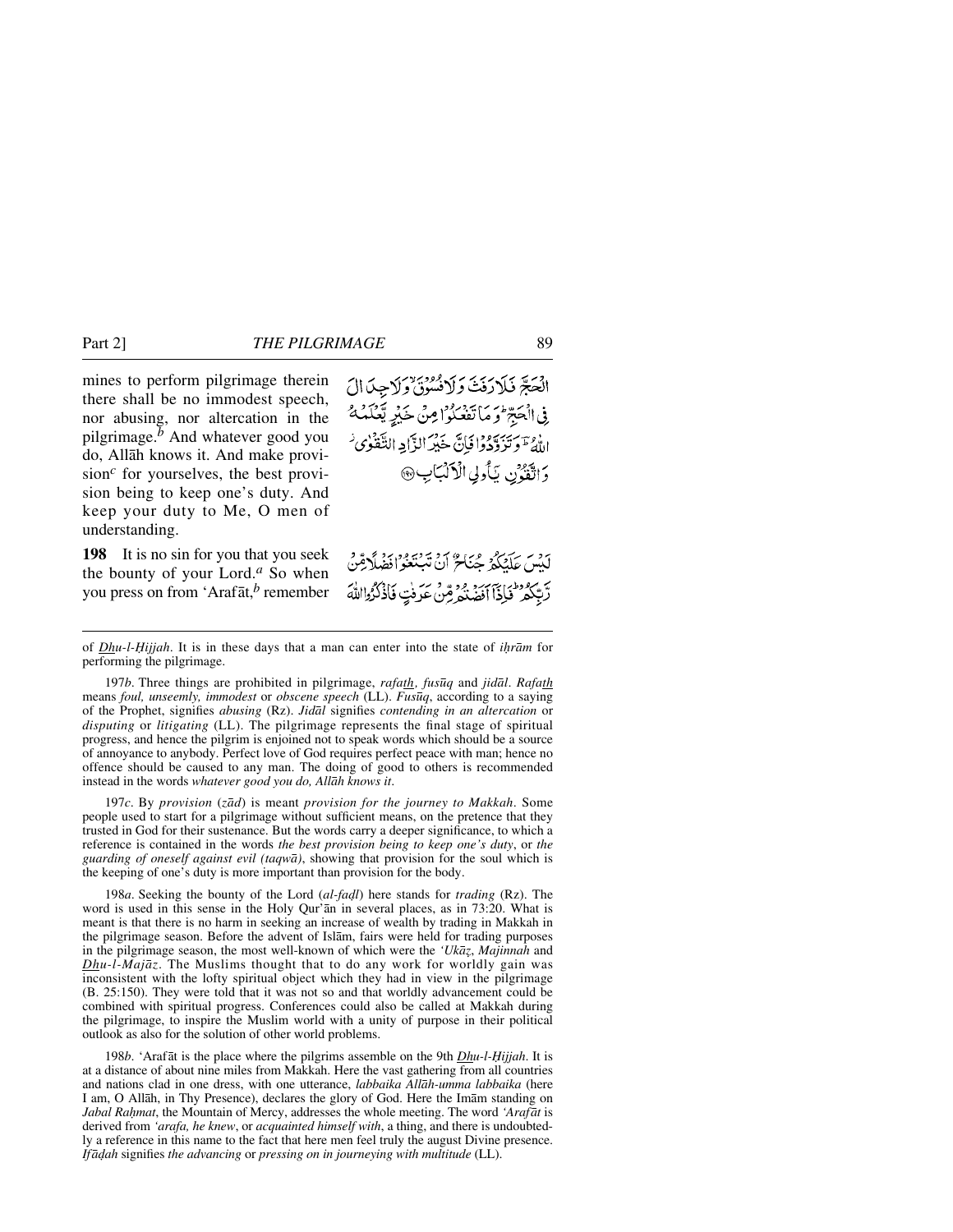mines to perform pilgrimage therein there shall be no immodest speech, nor abusing, nor altercation in the pilgrimage.*<sup>b</sup>* And whatever good you do, Allåh knows it. And make provision*<sup>c</sup>* for yourselves, the best provision being to keep one's duty. And keep your duty to Me, O men of understanding.

**198** It is no sin for you that you seek the bounty of your Lord.*<sup>a</sup>* So when you press on from 'Arafåt,*<sup>b</sup>* remember الْحَجَّ فَلَارَفَتْ وَلَانُسُونَ وَلَاجِنَ الَ فِي الْحَجِّ وَ مَا تَفْعَلُوا مِنْ خَيْرٍ يَّعْكَمُهُ اللَّهُ ۖ وَتَدَبَّهُ وَافْإِنَّ خَيْرَ الزَّايِهِ التَّقَوْى لَهُ وَاتَقَوْنِ يَأْوِلِي الْأَلْبَابِ۞

يْهِ مِنْ عَلَيْكُمْ حُيَاحٌ أَنْ تَسْتَغُواْفَضَلَاقِينْ رَّبِّكُمُ فَإِذَا أَفَضَٰنُهُ مِّنْ عَرَفْتٍ فَأَذْكُرُوااللَّهَ

197*b*. Three things are prohibited in pilgrimage, *rafath, fus∂q* and *jidål*. *Rafath* means *foul, unseemly, immodest* or *obscene speech* (LL). *Fus∂q*, according to a saying of the Prophet, signifies *abusing* (Rz). *Jidål* signifies *contending in an altercation* or *disputing* or *litigating* (LL). The pilgrimage represents the final stage of spiritual progress, and hence the pilgrim is enjoined not to speak words which should be a source of annoyance to anybody. Perfect love of God requires perfect peace with man; hence no offence should be caused to any man. The doing of good to others is recommended instead in the words *whatever good you do, Allåh knows it*.

197*c*. By *provision* (*zåd*) is meant *provision for the journey to Makkah*. Some people used to start for a pilgrimage without sufficient means, on the pretence that they trusted in God for their sustenance. But the words carry a deeper significance, to which a reference is contained in the words *the best provision being to keep one's duty*, or *the guarding of oneself against evil (taqwå)*, showing that provision for the soul which is the keeping of one's duty is more important than provision for the body.

198*a*. Seeking the bounty of the Lord (*al-fadl*) here stands for *trading* (Rz). The word is used in this sense in the Holy Qur'ån in several places, as in 73:20. What is meant is that there is no harm in seeking an increase of wealth by trading in Makkah in the pilgrimage season. Before the advent of Islåm, fairs were held for trading purposes in the pilgrimage season, the most well-known of which were the *'Ukāz*, *Majinnah* and *Dhu-l-Majåz*. The Muslims thought that to do any work for worldly gain was inconsistent with the lofty spiritual object which they had in view in the pilgrimage (B. 25:150). They were told that it was not so and that worldly advancement could be combined with spiritual progress. Conferences could also be called at Makkah during the pilgrimage, to inspire the Muslim world with a unity of purpose in their political outlook as also for the solution of other world problems.

198*b*. 'Arafāt is the place where the pilgrims assemble on the 9th *Dhu-l-Hijjah*. It is at a distance of about nine miles from Makkah. Here the vast gathering from all countries and nations clad in one dress, with one utterance, *labbaika Allåh-umma labbaika* (here I am, O Allåh, in Thy Presence), declares the glory of God. Here the Imåm standing on *Jabal Rahmat*, the Mountain of Mercy, addresses the whole meeting. The word *'Arafāt* is derived from *'arafa, he knew*, or *acquainted himself with*, a thing, and there is undoubtedly a reference in this name to the fact that here men feel truly the august Divine presence. *Ifå˙ah* signifies *the advancing* or *pressing on in journeying with multitude* (LL).

of *Dhu-l-Ïijjah*. It is in these days that a man can enter into the state of *i√råm* for performing the pilgrimage.